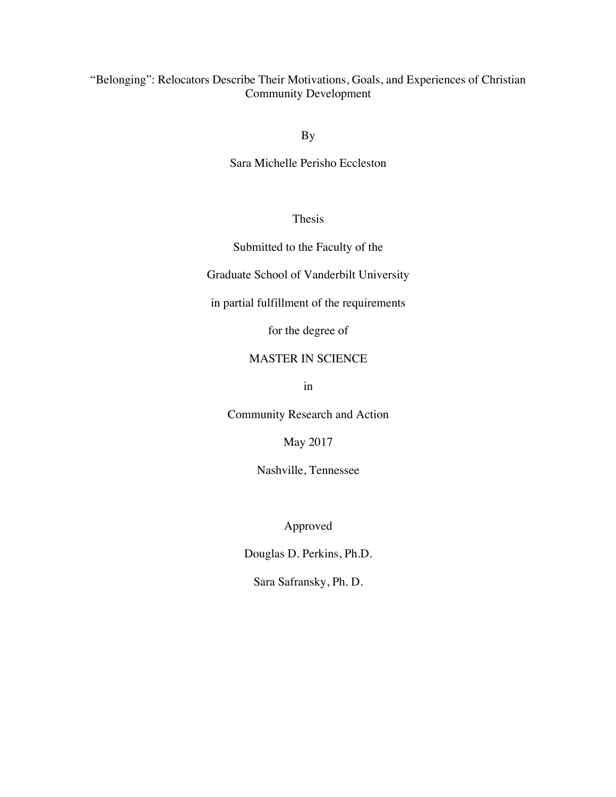# "Belonging": Relocators Describe Their Motivations, Goals, and Experiences of Christian Community Development

By

Sara Michelle Perisho Eccleston

Thesis

Submitted to the Faculty of the

Graduate School of Vanderbilt University

in partial fulfillment of the requirements

for the degree of

# MASTER IN SCIENCE

in

Community Research and Action

May 2017

Nashville, Tennessee

Approved

Douglas D. Perkins, Ph.D.

Sara Safransky, Ph. D.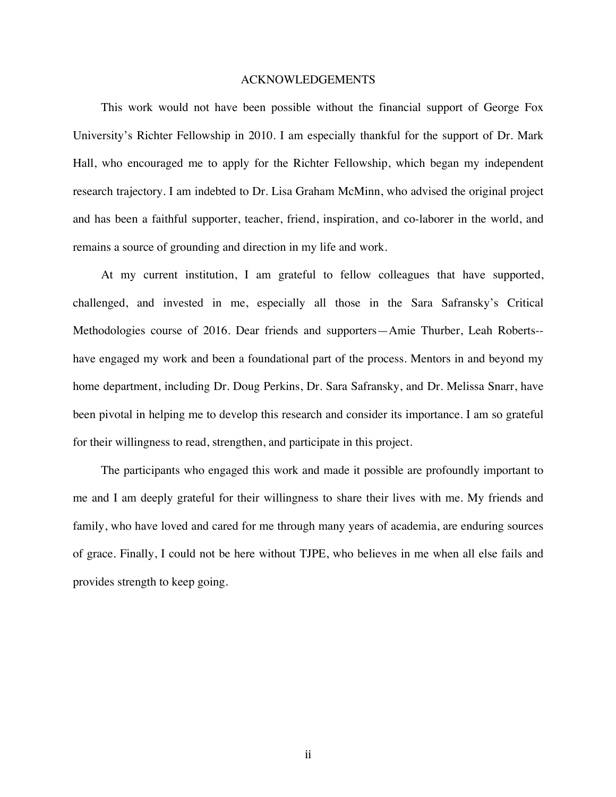#### ACKNOWLEDGEMENTS

This work would not have been possible without the financial support of George Fox University's Richter Fellowship in 2010. I am especially thankful for the support of Dr. Mark Hall, who encouraged me to apply for the Richter Fellowship, which began my independent research trajectory. I am indebted to Dr. Lisa Graham McMinn, who advised the original project and has been a faithful supporter, teacher, friend, inspiration, and co-laborer in the world, and remains a source of grounding and direction in my life and work.

At my current institution, I am grateful to fellow colleagues that have supported, challenged, and invested in me, especially all those in the Sara Safransky's Critical Methodologies course of 2016. Dear friends and supporters—Amie Thurber, Leah Roberts- have engaged my work and been a foundational part of the process. Mentors in and beyond my home department, including Dr. Doug Perkins, Dr. Sara Safransky, and Dr. Melissa Snarr, have been pivotal in helping me to develop this research and consider its importance. I am so grateful for their willingness to read, strengthen, and participate in this project.

The participants who engaged this work and made it possible are profoundly important to me and I am deeply grateful for their willingness to share their lives with me. My friends and family, who have loved and cared for me through many years of academia, are enduring sources of grace. Finally, I could not be here without TJPE, who believes in me when all else fails and provides strength to keep going.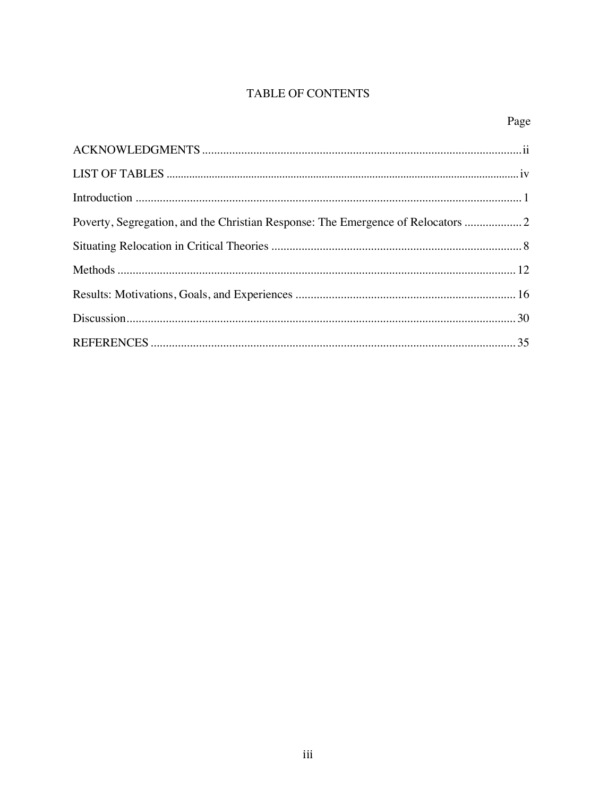# TABLE OF CONTENTS

| Poverty, Segregation, and the Christian Response: The Emergence of Relocators  2 |  |
|----------------------------------------------------------------------------------|--|
|                                                                                  |  |
|                                                                                  |  |
|                                                                                  |  |
|                                                                                  |  |
|                                                                                  |  |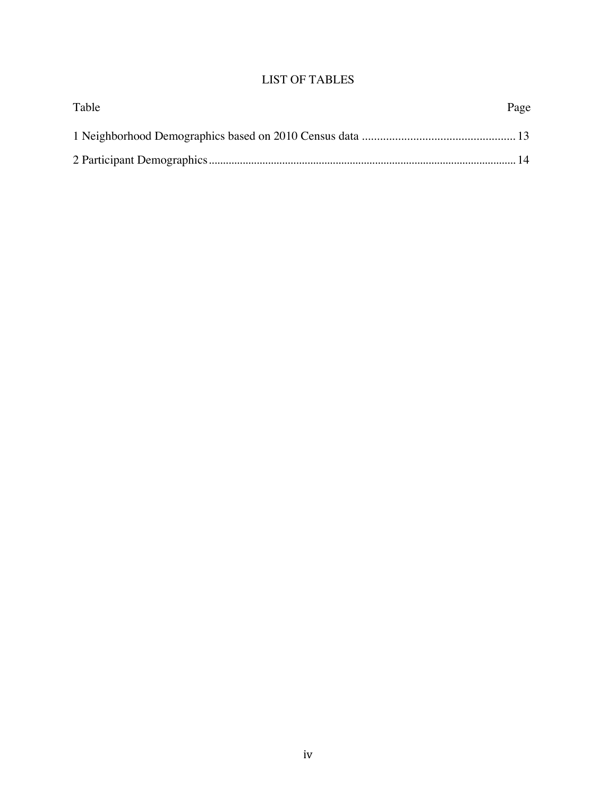# LIST OF TABLES

| Table | Page |
|-------|------|
|       |      |
|       |      |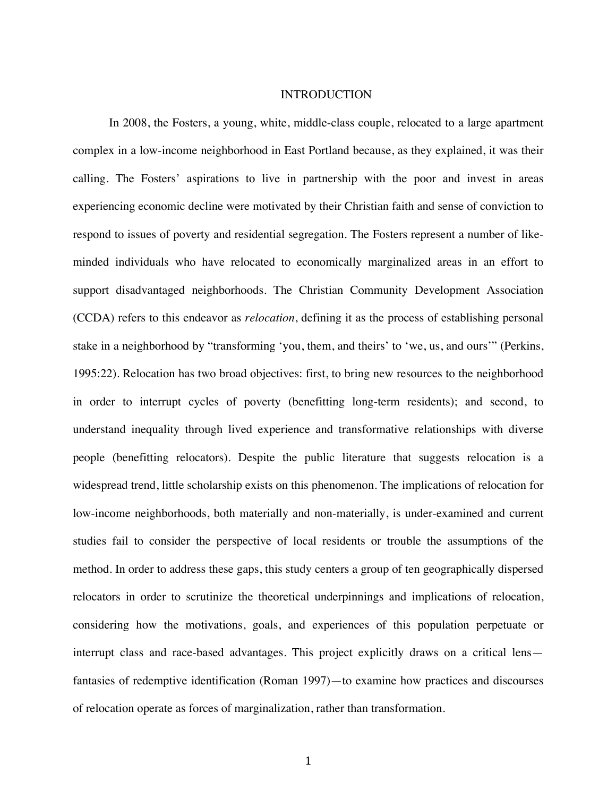#### INTRODUCTION

In 2008, the Fosters, a young, white, middle-class couple, relocated to a large apartment complex in a low-income neighborhood in East Portland because, as they explained, it was their calling. The Fosters' aspirations to live in partnership with the poor and invest in areas experiencing economic decline were motivated by their Christian faith and sense of conviction to respond to issues of poverty and residential segregation. The Fosters represent a number of likeminded individuals who have relocated to economically marginalized areas in an effort to support disadvantaged neighborhoods. The Christian Community Development Association (CCDA) refers to this endeavor as *relocation*, defining it as the process of establishing personal stake in a neighborhood by "transforming 'you, them, and theirs' to 'we, us, and ours'" (Perkins, 1995:22). Relocation has two broad objectives: first, to bring new resources to the neighborhood in order to interrupt cycles of poverty (benefitting long-term residents); and second, to understand inequality through lived experience and transformative relationships with diverse people (benefitting relocators). Despite the public literature that suggests relocation is a widespread trend, little scholarship exists on this phenomenon. The implications of relocation for low-income neighborhoods, both materially and non-materially, is under-examined and current studies fail to consider the perspective of local residents or trouble the assumptions of the method. In order to address these gaps, this study centers a group of ten geographically dispersed relocators in order to scrutinize the theoretical underpinnings and implications of relocation, considering how the motivations, goals, and experiences of this population perpetuate or interrupt class and race-based advantages. This project explicitly draws on a critical lens fantasies of redemptive identification (Roman 1997)—to examine how practices and discourses of relocation operate as forces of marginalization, rather than transformation.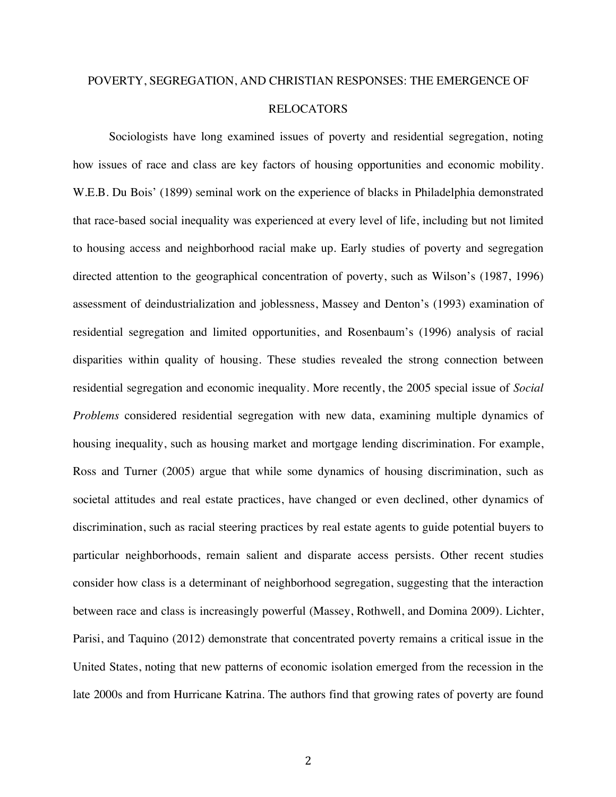# POVERTY, SEGREGATION, AND CHRISTIAN RESPONSES: THE EMERGENCE OF RELOCATORS

Sociologists have long examined issues of poverty and residential segregation, noting how issues of race and class are key factors of housing opportunities and economic mobility. W.E.B. Du Bois' (1899) seminal work on the experience of blacks in Philadelphia demonstrated that race-based social inequality was experienced at every level of life, including but not limited to housing access and neighborhood racial make up. Early studies of poverty and segregation directed attention to the geographical concentration of poverty, such as Wilson's (1987, 1996) assessment of deindustrialization and joblessness, Massey and Denton's (1993) examination of residential segregation and limited opportunities, and Rosenbaum's (1996) analysis of racial disparities within quality of housing. These studies revealed the strong connection between residential segregation and economic inequality. More recently, the 2005 special issue of *Social Problems* considered residential segregation with new data, examining multiple dynamics of housing inequality, such as housing market and mortgage lending discrimination. For example, Ross and Turner (2005) argue that while some dynamics of housing discrimination, such as societal attitudes and real estate practices, have changed or even declined, other dynamics of discrimination, such as racial steering practices by real estate agents to guide potential buyers to particular neighborhoods, remain salient and disparate access persists. Other recent studies consider how class is a determinant of neighborhood segregation, suggesting that the interaction between race and class is increasingly powerful (Massey, Rothwell, and Domina 2009). Lichter, Parisi, and Taquino (2012) demonstrate that concentrated poverty remains a critical issue in the United States, noting that new patterns of economic isolation emerged from the recession in the late 2000s and from Hurricane Katrina. The authors find that growing rates of poverty are found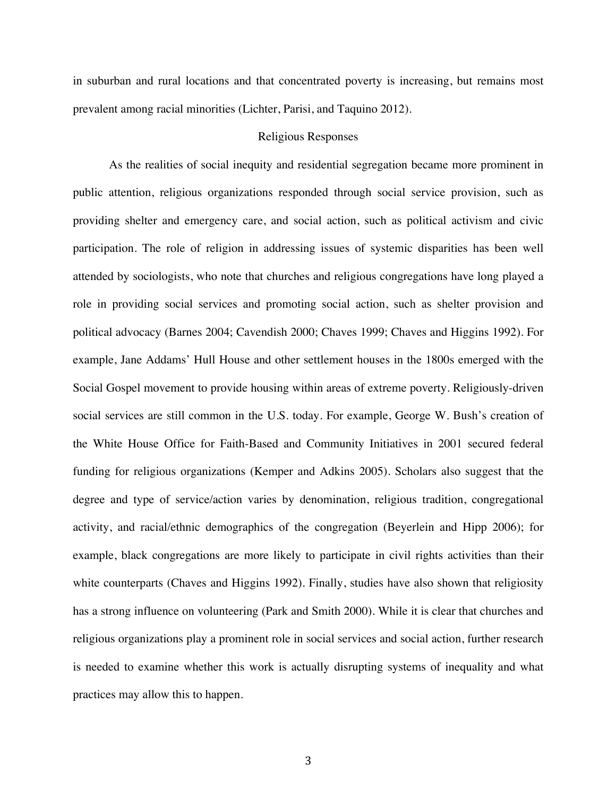in suburban and rural locations and that concentrated poverty is increasing, but remains most prevalent among racial minorities (Lichter, Parisi, and Taquino 2012).

#### Religious Responses

As the realities of social inequity and residential segregation became more prominent in public attention, religious organizations responded through social service provision, such as providing shelter and emergency care, and social action, such as political activism and civic participation. The role of religion in addressing issues of systemic disparities has been well attended by sociologists, who note that churches and religious congregations have long played a role in providing social services and promoting social action, such as shelter provision and political advocacy (Barnes 2004; Cavendish 2000; Chaves 1999; Chaves and Higgins 1992). For example, Jane Addams' Hull House and other settlement houses in the 1800s emerged with the Social Gospel movement to provide housing within areas of extreme poverty. Religiously-driven social services are still common in the U.S. today. For example, George W. Bush's creation of the White House Office for Faith-Based and Community Initiatives in 2001 secured federal funding for religious organizations (Kemper and Adkins 2005). Scholars also suggest that the degree and type of service/action varies by denomination, religious tradition, congregational activity, and racial/ethnic demographics of the congregation (Beyerlein and Hipp 2006); for example, black congregations are more likely to participate in civil rights activities than their white counterparts (Chaves and Higgins 1992). Finally, studies have also shown that religiosity has a strong influence on volunteering (Park and Smith 2000). While it is clear that churches and religious organizations play a prominent role in social services and social action, further research is needed to examine whether this work is actually disrupting systems of inequality and what practices may allow this to happen.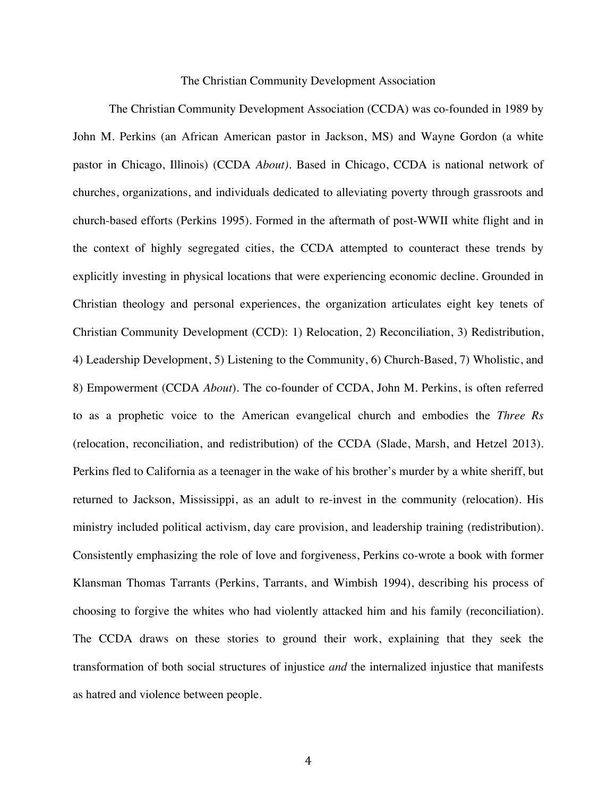#### The Christian Community Development Association

The Christian Community Development Association (CCDA) was co-founded in 1989 by John M. Perkins (an African American pastor in Jackson, MS) and Wayne Gordon (a white pastor in Chicago, Illinois) (CCDA *About)*. Based in Chicago, CCDA is national network of churches, organizations, and individuals dedicated to alleviating poverty through grassroots and church-based efforts (Perkins 1995). Formed in the aftermath of post-WWII white flight and in the context of highly segregated cities, the CCDA attempted to counteract these trends by explicitly investing in physical locations that were experiencing economic decline. Grounded in Christian theology and personal experiences, the organization articulates eight key tenets of Christian Community Development (CCD): 1) Relocation, 2) Reconciliation, 3) Redistribution, 4) Leadership Development, 5) Listening to the Community, 6) Church-Based, 7) Wholistic, and 8) Empowerment (CCDA *About*). The co-founder of CCDA, John M. Perkins, is often referred to as a prophetic voice to the American evangelical church and embodies the *Three Rs* (relocation, reconciliation, and redistribution) of the CCDA (Slade, Marsh, and Hetzel 2013). Perkins fled to California as a teenager in the wake of his brother's murder by a white sheriff, but returned to Jackson, Mississippi, as an adult to re-invest in the community (relocation). His ministry included political activism, day care provision, and leadership training (redistribution). Consistently emphasizing the role of love and forgiveness, Perkins co-wrote a book with former Klansman Thomas Tarrants (Perkins, Tarrants, and Wimbish 1994), describing his process of choosing to forgive the whites who had violently attacked him and his family (reconciliation). The CCDA draws on these stories to ground their work, explaining that they seek the transformation of both social structures of injustice *and* the internalized injustice that manifests as hatred and violence between people.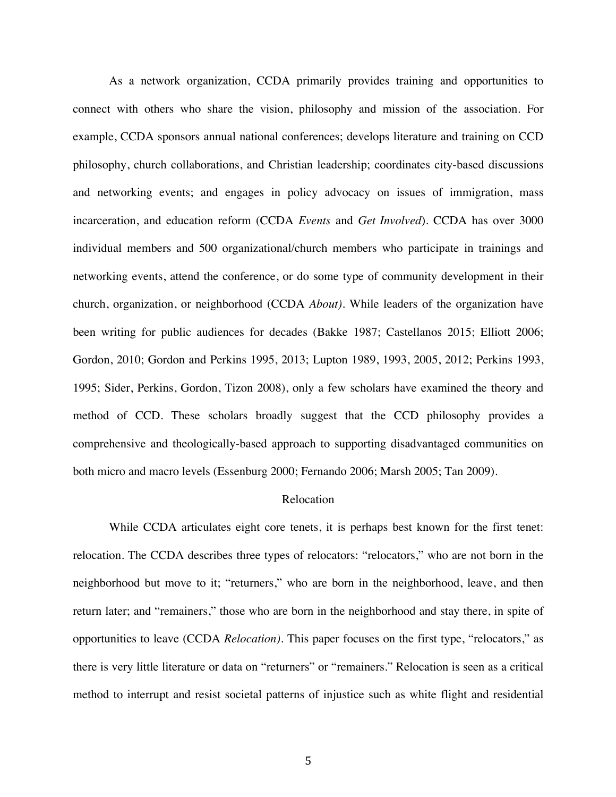As a network organization, CCDA primarily provides training and opportunities to connect with others who share the vision, philosophy and mission of the association. For example, CCDA sponsors annual national conferences; develops literature and training on CCD philosophy, church collaborations, and Christian leadership; coordinates city-based discussions and networking events; and engages in policy advocacy on issues of immigration, mass incarceration, and education reform (CCDA *Events* and *Get Involved*). CCDA has over 3000 individual members and 500 organizational/church members who participate in trainings and networking events, attend the conference, or do some type of community development in their church, organization, or neighborhood (CCDA *About)*. While leaders of the organization have been writing for public audiences for decades (Bakke 1987; Castellanos 2015; Elliott 2006; Gordon, 2010; Gordon and Perkins 1995, 2013; Lupton 1989, 1993, 2005, 2012; Perkins 1993, 1995; Sider, Perkins, Gordon, Tizon 2008), only a few scholars have examined the theory and method of CCD. These scholars broadly suggest that the CCD philosophy provides a comprehensive and theologically-based approach to supporting disadvantaged communities on both micro and macro levels (Essenburg 2000; Fernando 2006; Marsh 2005; Tan 2009).

### Relocation

While CCDA articulates eight core tenets, it is perhaps best known for the first tenet: relocation. The CCDA describes three types of relocators: "relocators," who are not born in the neighborhood but move to it; "returners," who are born in the neighborhood, leave, and then return later; and "remainers," those who are born in the neighborhood and stay there, in spite of opportunities to leave (CCDA *Relocation)*. This paper focuses on the first type, "relocators," as there is very little literature or data on "returners" or "remainers." Relocation is seen as a critical method to interrupt and resist societal patterns of injustice such as white flight and residential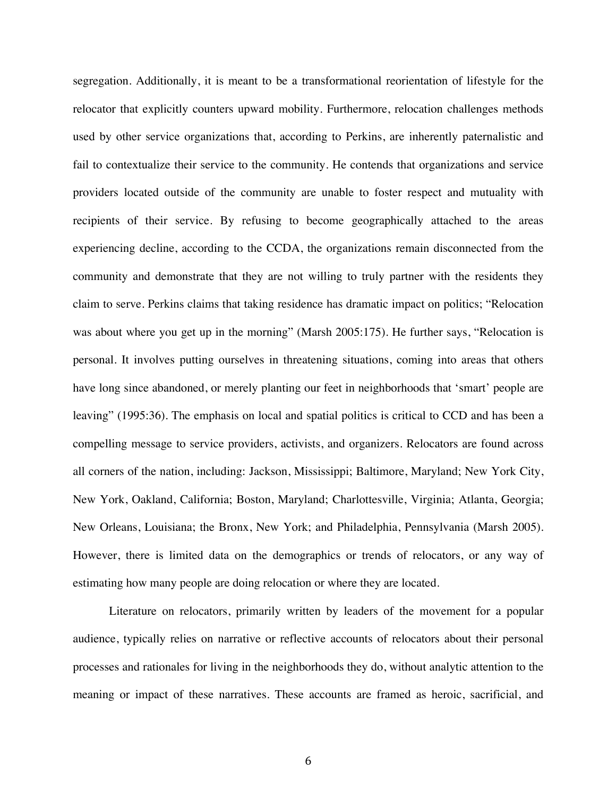segregation. Additionally, it is meant to be a transformational reorientation of lifestyle for the relocator that explicitly counters upward mobility. Furthermore, relocation challenges methods used by other service organizations that, according to Perkins, are inherently paternalistic and fail to contextualize their service to the community. He contends that organizations and service providers located outside of the community are unable to foster respect and mutuality with recipients of their service. By refusing to become geographically attached to the areas experiencing decline, according to the CCDA, the organizations remain disconnected from the community and demonstrate that they are not willing to truly partner with the residents they claim to serve. Perkins claims that taking residence has dramatic impact on politics; "Relocation was about where you get up in the morning" (Marsh 2005:175). He further says, "Relocation is personal. It involves putting ourselves in threatening situations, coming into areas that others have long since abandoned, or merely planting our feet in neighborhoods that 'smart' people are leaving" (1995:36). The emphasis on local and spatial politics is critical to CCD and has been a compelling message to service providers, activists, and organizers. Relocators are found across all corners of the nation, including: Jackson, Mississippi; Baltimore, Maryland; New York City, New York, Oakland, California; Boston, Maryland; Charlottesville, Virginia; Atlanta, Georgia; New Orleans, Louisiana; the Bronx, New York; and Philadelphia, Pennsylvania (Marsh 2005). However, there is limited data on the demographics or trends of relocators, or any way of estimating how many people are doing relocation or where they are located.

Literature on relocators, primarily written by leaders of the movement for a popular audience, typically relies on narrative or reflective accounts of relocators about their personal processes and rationales for living in the neighborhoods they do, without analytic attention to the meaning or impact of these narratives. These accounts are framed as heroic, sacrificial, and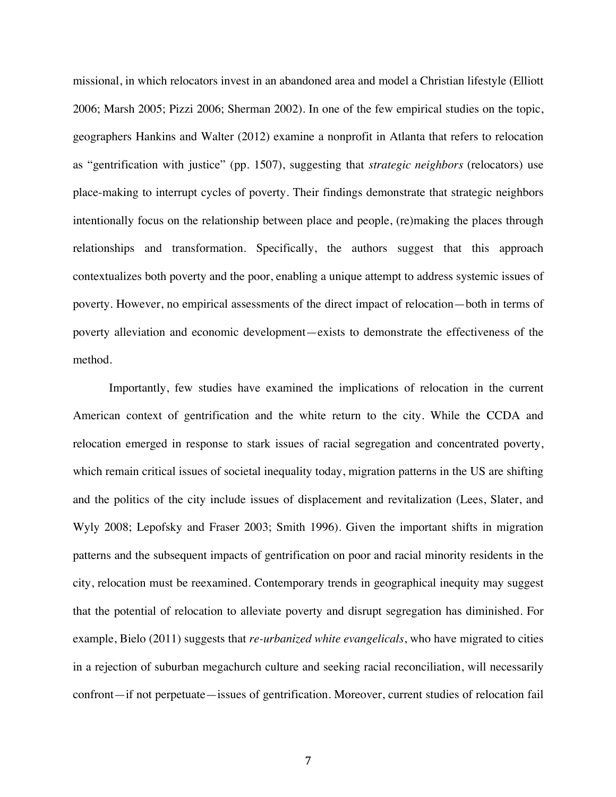missional, in which relocators invest in an abandoned area and model a Christian lifestyle (Elliott 2006; Marsh 2005; Pizzi 2006; Sherman 2002). In one of the few empirical studies on the topic, geographers Hankins and Walter (2012) examine a nonprofit in Atlanta that refers to relocation as "gentrification with justice" (pp. 1507), suggesting that *strategic neighbors* (relocators) use place-making to interrupt cycles of poverty. Their findings demonstrate that strategic neighbors intentionally focus on the relationship between place and people, (re)making the places through relationships and transformation. Specifically, the authors suggest that this approach contextualizes both poverty and the poor, enabling a unique attempt to address systemic issues of poverty. However, no empirical assessments of the direct impact of relocation—both in terms of poverty alleviation and economic development—exists to demonstrate the effectiveness of the method.

Importantly, few studies have examined the implications of relocation in the current American context of gentrification and the white return to the city. While the CCDA and relocation emerged in response to stark issues of racial segregation and concentrated poverty, which remain critical issues of societal inequality today, migration patterns in the US are shifting and the politics of the city include issues of displacement and revitalization (Lees, Slater, and Wyly 2008; Lepofsky and Fraser 2003; Smith 1996). Given the important shifts in migration patterns and the subsequent impacts of gentrification on poor and racial minority residents in the city, relocation must be reexamined. Contemporary trends in geographical inequity may suggest that the potential of relocation to alleviate poverty and disrupt segregation has diminished. For example, Bielo (2011) suggests that *re-urbanized white evangelicals*, who have migrated to cities in a rejection of suburban megachurch culture and seeking racial reconciliation, will necessarily confront—if not perpetuate—issues of gentrification. Moreover, current studies of relocation fail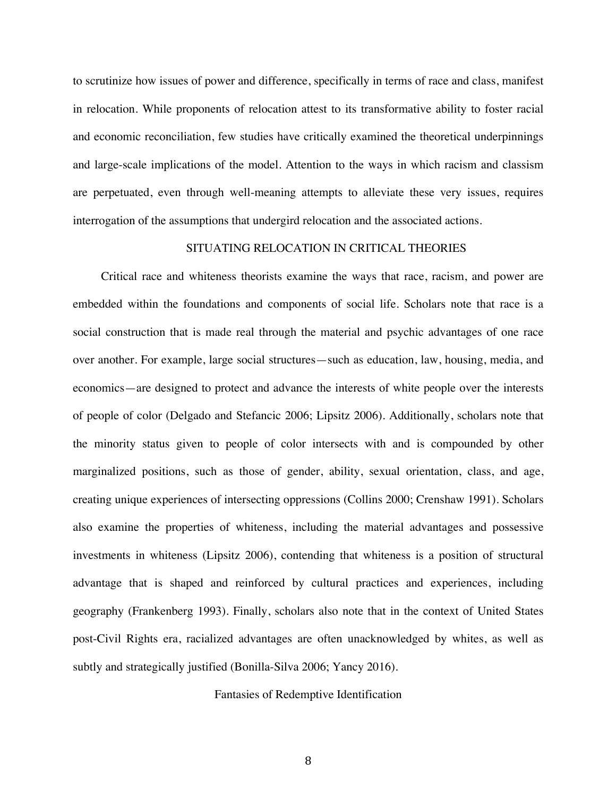to scrutinize how issues of power and difference, specifically in terms of race and class, manifest in relocation. While proponents of relocation attest to its transformative ability to foster racial and economic reconciliation, few studies have critically examined the theoretical underpinnings and large-scale implications of the model. Attention to the ways in which racism and classism are perpetuated, even through well-meaning attempts to alleviate these very issues, requires interrogation of the assumptions that undergird relocation and the associated actions.

#### SITUATING RELOCATION IN CRITICAL THEORIES

Critical race and whiteness theorists examine the ways that race, racism, and power are embedded within the foundations and components of social life. Scholars note that race is a social construction that is made real through the material and psychic advantages of one race over another. For example, large social structures—such as education, law, housing, media, and economics—are designed to protect and advance the interests of white people over the interests of people of color (Delgado and Stefancic 2006; Lipsitz 2006). Additionally, scholars note that the minority status given to people of color intersects with and is compounded by other marginalized positions, such as those of gender, ability, sexual orientation, class, and age, creating unique experiences of intersecting oppressions (Collins 2000; Crenshaw 1991). Scholars also examine the properties of whiteness, including the material advantages and possessive investments in whiteness (Lipsitz 2006), contending that whiteness is a position of structural advantage that is shaped and reinforced by cultural practices and experiences, including geography (Frankenberg 1993). Finally, scholars also note that in the context of United States post-Civil Rights era, racialized advantages are often unacknowledged by whites, as well as subtly and strategically justified (Bonilla-Silva 2006; Yancy 2016).

# Fantasies of Redemptive Identification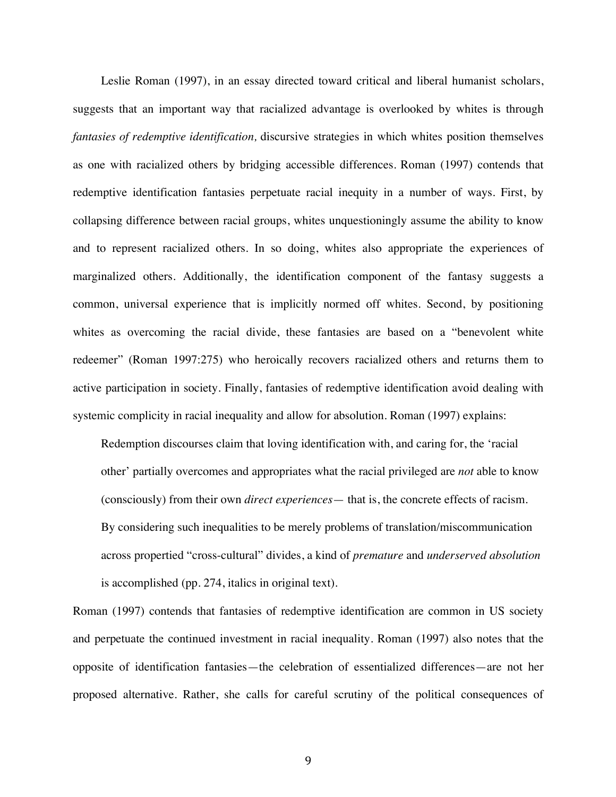Leslie Roman (1997), in an essay directed toward critical and liberal humanist scholars, suggests that an important way that racialized advantage is overlooked by whites is through *fantasies of redemptive identification,* discursive strategies in which whites position themselves as one with racialized others by bridging accessible differences. Roman (1997) contends that redemptive identification fantasies perpetuate racial inequity in a number of ways. First, by collapsing difference between racial groups, whites unquestioningly assume the ability to know and to represent racialized others. In so doing, whites also appropriate the experiences of marginalized others. Additionally, the identification component of the fantasy suggests a common, universal experience that is implicitly normed off whites. Second, by positioning whites as overcoming the racial divide, these fantasies are based on a "benevolent white redeemer" (Roman 1997:275) who heroically recovers racialized others and returns them to active participation in society. Finally, fantasies of redemptive identification avoid dealing with systemic complicity in racial inequality and allow for absolution. Roman (1997) explains:

Redemption discourses claim that loving identification with, and caring for, the 'racial other' partially overcomes and appropriates what the racial privileged are *not* able to know (consciously) from their own *direct experiences*— that is, the concrete effects of racism. By considering such inequalities to be merely problems of translation/miscommunication across propertied "cross-cultural" divides, a kind of *premature* and *underserved absolution* is accomplished (pp. 274, italics in original text).

Roman (1997) contends that fantasies of redemptive identification are common in US society and perpetuate the continued investment in racial inequality. Roman (1997) also notes that the opposite of identification fantasies—the celebration of essentialized differences—are not her proposed alternative. Rather, she calls for careful scrutiny of the political consequences of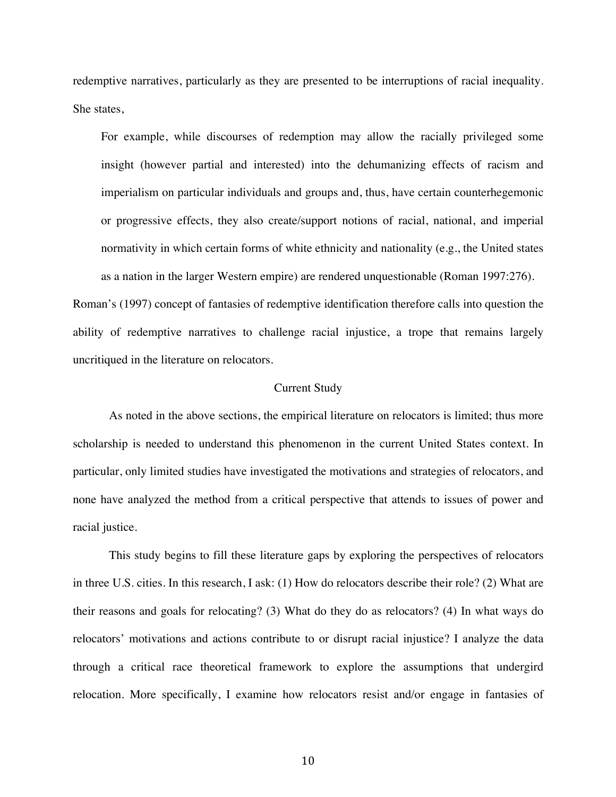redemptive narratives, particularly as they are presented to be interruptions of racial inequality. She states,

For example, while discourses of redemption may allow the racially privileged some insight (however partial and interested) into the dehumanizing effects of racism and imperialism on particular individuals and groups and, thus, have certain counterhegemonic or progressive effects, they also create/support notions of racial, national, and imperial normativity in which certain forms of white ethnicity and nationality (e.g., the United states as a nation in the larger Western empire) are rendered unquestionable (Roman 1997:276).

Roman's (1997) concept of fantasies of redemptive identification therefore calls into question the ability of redemptive narratives to challenge racial injustice, a trope that remains largely uncritiqued in the literature on relocators.

# Current Study

As noted in the above sections, the empirical literature on relocators is limited; thus more scholarship is needed to understand this phenomenon in the current United States context. In particular, only limited studies have investigated the motivations and strategies of relocators, and none have analyzed the method from a critical perspective that attends to issues of power and racial justice.

This study begins to fill these literature gaps by exploring the perspectives of relocators in three U.S. cities. In this research, I ask: (1) How do relocators describe their role? (2) What are their reasons and goals for relocating? (3) What do they do as relocators? (4) In what ways do relocators' motivations and actions contribute to or disrupt racial injustice? I analyze the data through a critical race theoretical framework to explore the assumptions that undergird relocation. More specifically, I examine how relocators resist and/or engage in fantasies of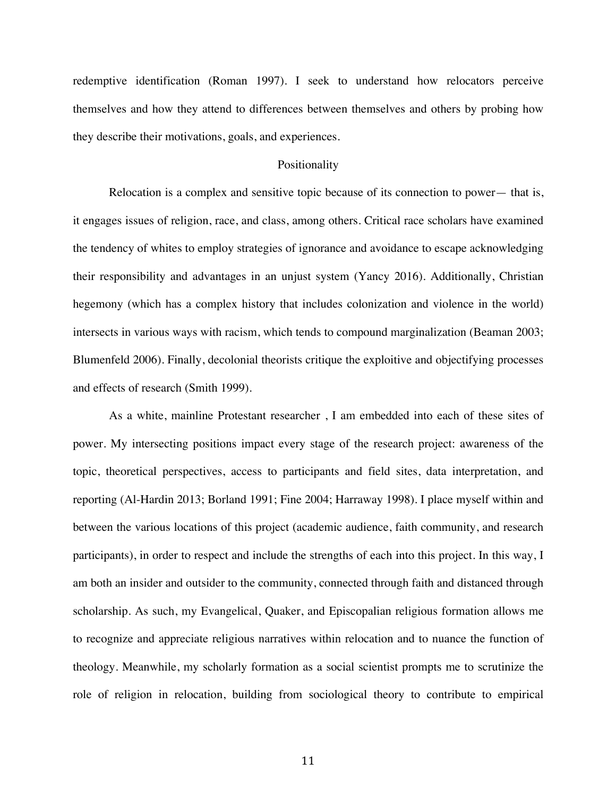redemptive identification (Roman 1997). I seek to understand how relocators perceive themselves and how they attend to differences between themselves and others by probing how they describe their motivations, goals, and experiences.

#### Positionality

Relocation is a complex and sensitive topic because of its connection to power— that is, it engages issues of religion, race, and class, among others. Critical race scholars have examined the tendency of whites to employ strategies of ignorance and avoidance to escape acknowledging their responsibility and advantages in an unjust system (Yancy 2016). Additionally, Christian hegemony (which has a complex history that includes colonization and violence in the world) intersects in various ways with racism, which tends to compound marginalization (Beaman 2003; Blumenfeld 2006). Finally, decolonial theorists critique the exploitive and objectifying processes and effects of research (Smith 1999).

As a white, mainline Protestant researcher , I am embedded into each of these sites of power. My intersecting positions impact every stage of the research project: awareness of the topic, theoretical perspectives, access to participants and field sites, data interpretation, and reporting (Al-Hardin 2013; Borland 1991; Fine 2004; Harraway 1998). I place myself within and between the various locations of this project (academic audience, faith community, and research participants), in order to respect and include the strengths of each into this project. In this way, I am both an insider and outsider to the community, connected through faith and distanced through scholarship. As such, my Evangelical, Quaker, and Episcopalian religious formation allows me to recognize and appreciate religious narratives within relocation and to nuance the function of theology. Meanwhile, my scholarly formation as a social scientist prompts me to scrutinize the role of religion in relocation, building from sociological theory to contribute to empirical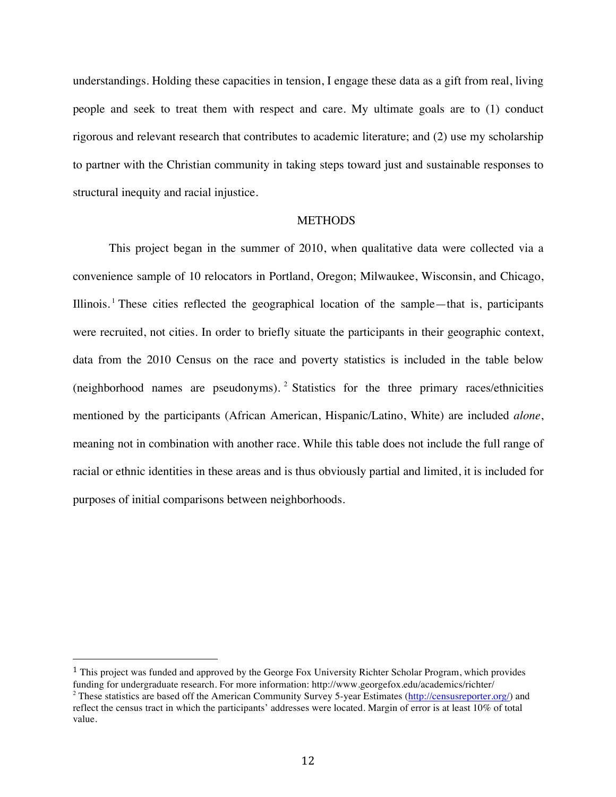understandings. Holding these capacities in tension, I engage these data as a gift from real, living people and seek to treat them with respect and care. My ultimate goals are to (1) conduct rigorous and relevant research that contributes to academic literature; and (2) use my scholarship to partner with the Christian community in taking steps toward just and sustainable responses to structural inequity and racial injustice.

#### **METHODS**

This project began in the summer of 2010, when qualitative data were collected via a convenience sample of 10 relocators in Portland, Oregon; Milwaukee, Wisconsin, and Chicago, Illinois.<sup>1</sup> These cities reflected the geographical location of the sample—that is, participants were recruited, not cities. In order to briefly situate the participants in their geographic context, data from the 2010 Census on the race and poverty statistics is included in the table below (neighborhood names are pseudonyms). <sup>2</sup> Statistics for the three primary races/ethnicities mentioned by the participants (African American, Hispanic/Latino, White) are included *alone*, meaning not in combination with another race. While this table does not include the full range of racial or ethnic identities in these areas and is thus obviously partial and limited, it is included for purposes of initial comparisons between neighborhoods.

 

<sup>&</sup>lt;sup>1</sup> This project was funded and approved by the George Fox University Richter Scholar Program, which provides funding for undergraduate research. For more information: http://www.georgefox.edu/academics/richter/

<sup>2</sup> These statistics are based off the American Community Survey 5-year Estimates (http://censusreporter.org/) and reflect the census tract in which the participants' addresses were located. Margin of error is at least 10% of total value.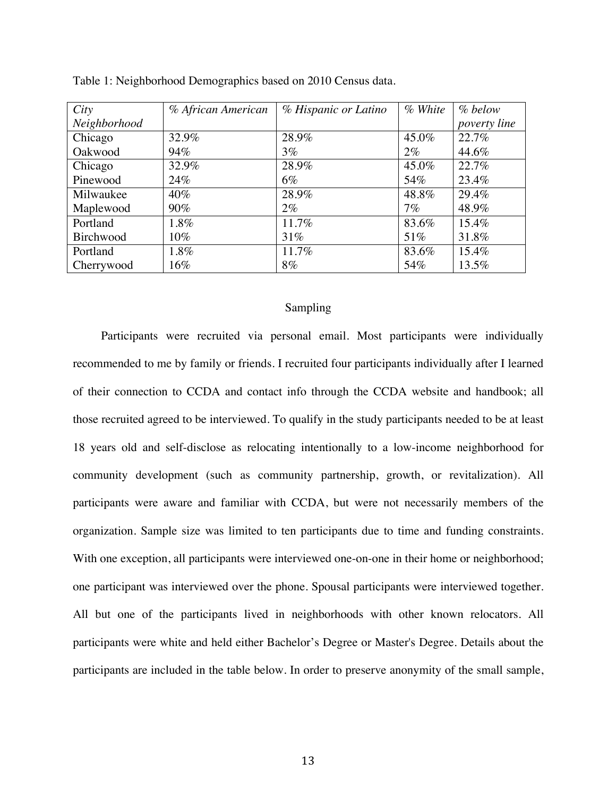| City         | % African American | % Hispanic or Latino | % White | % below             |
|--------------|--------------------|----------------------|---------|---------------------|
| Neighborhood |                    |                      |         | <i>poverty line</i> |
| Chicago      | 32.9%              | 28.9%                | 45.0%   | 22.7%               |
| Oakwood      | 94%                | $3\%$                | $2\%$   | 44.6%               |
| Chicago      | 32.9%              | 28.9%                | 45.0%   | 22.7%               |
| Pinewood     | 24%                | 6%                   | 54%     | 23.4%               |
| Milwaukee    | 40%                | 28.9%                | 48.8%   | 29.4%               |
| Maplewood    | $90\%$             | $2\%$                | $7\%$   | 48.9%               |
| Portland     | 1.8%               | 11.7%                | 83.6%   | 15.4%               |
| Birchwood    | $10\%$             | 31%                  | 51%     | 31.8%               |
| Portland     | 1.8%               | 11.7%                | 83.6%   | 15.4%               |
| Cherrywood   | 16%                | 8%                   | 54%     | 13.5%               |

Table 1: Neighborhood Demographics based on 2010 Census data.

# Sampling

Participants were recruited via personal email. Most participants were individually recommended to me by family or friends. I recruited four participants individually after I learned of their connection to CCDA and contact info through the CCDA website and handbook; all those recruited agreed to be interviewed. To qualify in the study participants needed to be at least 18 years old and self-disclose as relocating intentionally to a low-income neighborhood for community development (such as community partnership, growth, or revitalization). All participants were aware and familiar with CCDA, but were not necessarily members of the organization. Sample size was limited to ten participants due to time and funding constraints. With one exception, all participants were interviewed one-on-one in their home or neighborhood; one participant was interviewed over the phone. Spousal participants were interviewed together. All but one of the participants lived in neighborhoods with other known relocators. All participants were white and held either Bachelor's Degree or Master's Degree. Details about the participants are included in the table below. In order to preserve anonymity of the small sample,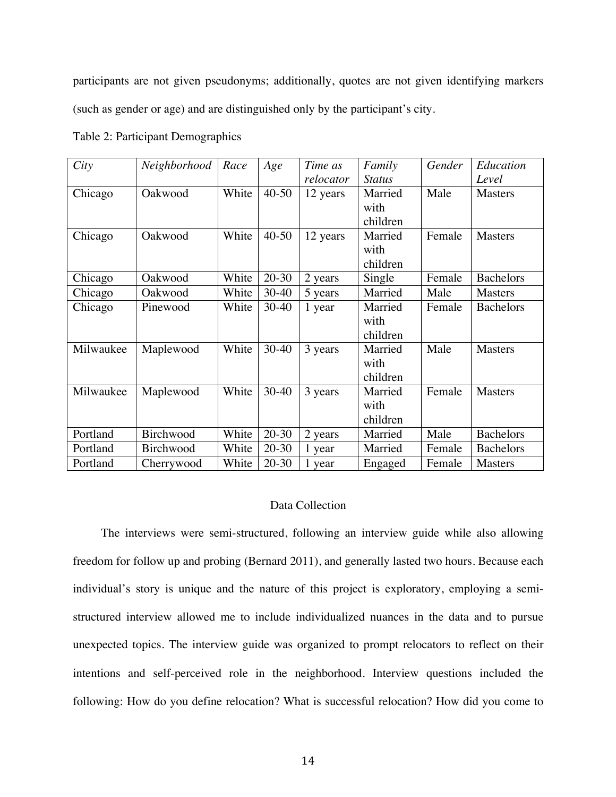participants are not given pseudonyms; additionally, quotes are not given identifying markers (such as gender or age) and are distinguished only by the participant's city.

| City      | Neighborhood | Race  | Age       | Time as   | Family        | Gender | Education        |
|-----------|--------------|-------|-----------|-----------|---------------|--------|------------------|
|           |              |       |           | relocator | <b>Status</b> |        | Level            |
| Chicago   | Oakwood      | White | $40 - 50$ | 12 years  | Married       | Male   | <b>Masters</b>   |
|           |              |       |           |           | with          |        |                  |
|           |              |       |           |           | children      |        |                  |
| Chicago   | Oakwood      | White | $40 - 50$ | 12 years  | Married       | Female | <b>Masters</b>   |
|           |              |       |           |           | with          |        |                  |
|           |              |       |           |           | children      |        |                  |
| Chicago   | Oakwood      | White | $20 - 30$ | 2 years   | Single        | Female | <b>Bachelors</b> |
| Chicago   | Oakwood      | White | $30 - 40$ | 5 years   | Married       | Male   | Masters          |
| Chicago   | Pinewood     | White | $30 - 40$ | 1 year    | Married       | Female | <b>Bachelors</b> |
|           |              |       |           |           | with          |        |                  |
|           |              |       |           |           | children      |        |                  |
| Milwaukee | Maplewood    | White | $30-40$   | 3 years   | Married       | Male   | <b>Masters</b>   |
|           |              |       |           |           | with          |        |                  |
|           |              |       |           |           | children      |        |                  |
| Milwaukee | Maplewood    | White | $30 - 40$ | 3 years   | Married       | Female | <b>Masters</b>   |
|           |              |       |           |           | with          |        |                  |
|           |              |       |           |           | children      |        |                  |
| Portland  | Birchwood    | White | $20 - 30$ | 2 years   | Married       | Male   | <b>Bachelors</b> |
| Portland  | Birchwood    | White | $20 - 30$ | 1 year    | Married       | Female | <b>Bachelors</b> |
| Portland  | Cherrywood   | White | $20 - 30$ | 1 year    | Engaged       | Female | <b>Masters</b>   |

Table 2: Participant Demographics

# Data Collection

The interviews were semi-structured, following an interview guide while also allowing freedom for follow up and probing (Bernard 2011), and generally lasted two hours. Because each individual's story is unique and the nature of this project is exploratory, employing a semistructured interview allowed me to include individualized nuances in the data and to pursue unexpected topics. The interview guide was organized to prompt relocators to reflect on their intentions and self-perceived role in the neighborhood. Interview questions included the following: How do you define relocation? What is successful relocation? How did you come to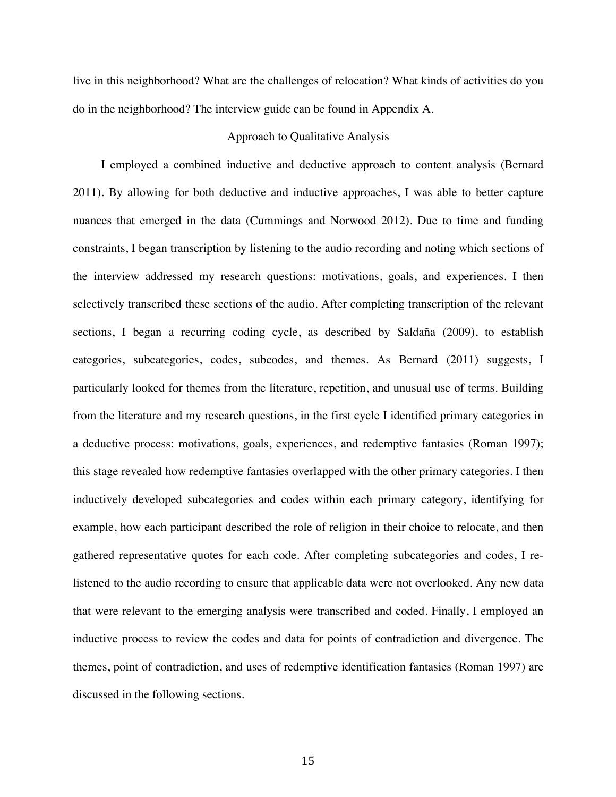live in this neighborhood? What are the challenges of relocation? What kinds of activities do you do in the neighborhood? The interview guide can be found in Appendix A.

# Approach to Qualitative Analysis

I employed a combined inductive and deductive approach to content analysis (Bernard 2011). By allowing for both deductive and inductive approaches, I was able to better capture nuances that emerged in the data (Cummings and Norwood 2012). Due to time and funding constraints, I began transcription by listening to the audio recording and noting which sections of the interview addressed my research questions: motivations, goals, and experiences. I then selectively transcribed these sections of the audio. After completing transcription of the relevant sections, I began a recurring coding cycle, as described by Saldaña (2009), to establish categories, subcategories, codes, subcodes, and themes. As Bernard (2011) suggests, I particularly looked for themes from the literature, repetition, and unusual use of terms. Building from the literature and my research questions, in the first cycle I identified primary categories in a deductive process: motivations, goals, experiences, and redemptive fantasies (Roman 1997); this stage revealed how redemptive fantasies overlapped with the other primary categories. I then inductively developed subcategories and codes within each primary category, identifying for example, how each participant described the role of religion in their choice to relocate, and then gathered representative quotes for each code. After completing subcategories and codes, I relistened to the audio recording to ensure that applicable data were not overlooked. Any new data that were relevant to the emerging analysis were transcribed and coded. Finally, I employed an inductive process to review the codes and data for points of contradiction and divergence. The themes, point of contradiction, and uses of redemptive identification fantasies (Roman 1997) are discussed in the following sections.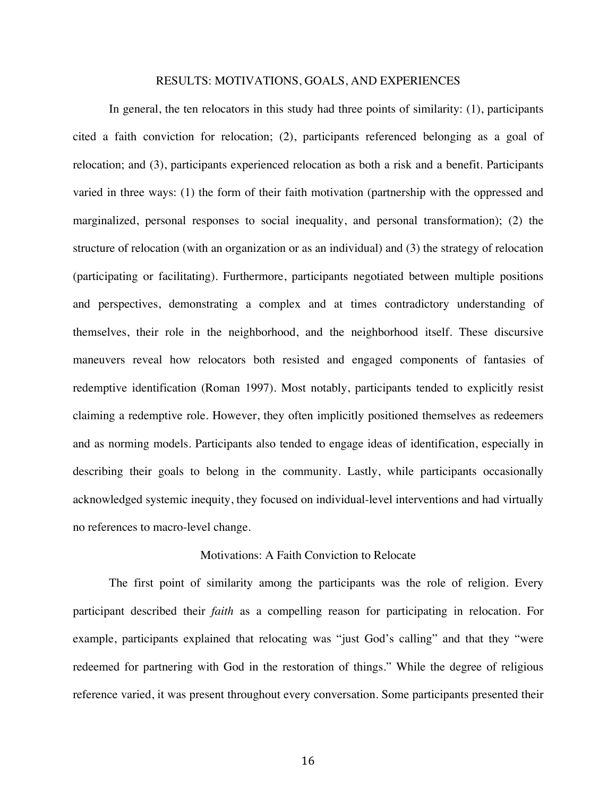#### RESULTS: MOTIVATIONS, GOALS, AND EXPERIENCES

In general, the ten relocators in this study had three points of similarity: (1), participants cited a faith conviction for relocation; (2), participants referenced belonging as a goal of relocation; and (3), participants experienced relocation as both a risk and a benefit. Participants varied in three ways: (1) the form of their faith motivation (partnership with the oppressed and marginalized, personal responses to social inequality, and personal transformation); (2) the structure of relocation (with an organization or as an individual) and (3) the strategy of relocation (participating or facilitating). Furthermore, participants negotiated between multiple positions and perspectives, demonstrating a complex and at times contradictory understanding of themselves, their role in the neighborhood, and the neighborhood itself. These discursive maneuvers reveal how relocators both resisted and engaged components of fantasies of redemptive identification (Roman 1997). Most notably, participants tended to explicitly resist claiming a redemptive role. However, they often implicitly positioned themselves as redeemers and as norming models. Participants also tended to engage ideas of identification, especially in describing their goals to belong in the community. Lastly, while participants occasionally acknowledged systemic inequity, they focused on individual-level interventions and had virtually no references to macro-level change.

#### Motivations: A Faith Conviction to Relocate

The first point of similarity among the participants was the role of religion. Every participant described their *faith* as a compelling reason for participating in relocation. For example, participants explained that relocating was "just God's calling" and that they "were redeemed for partnering with God in the restoration of things." While the degree of religious reference varied, it was present throughout every conversation. Some participants presented their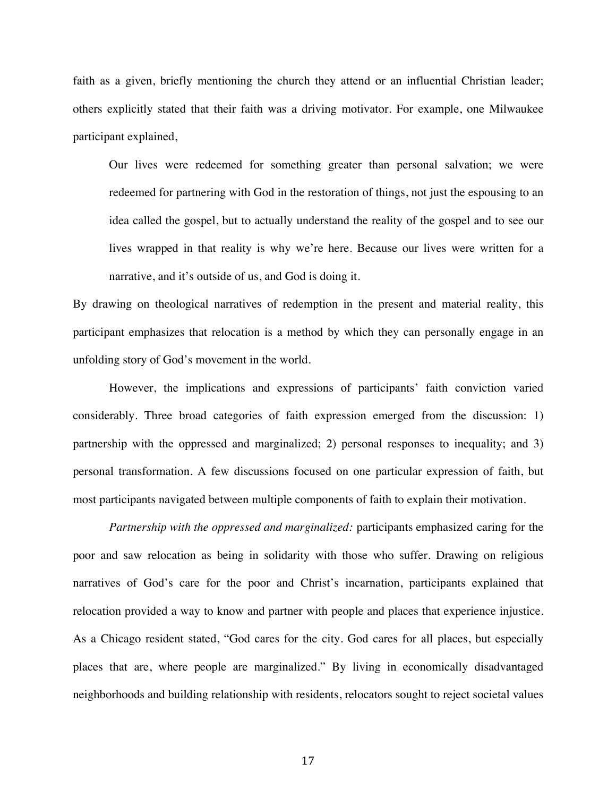faith as a given, briefly mentioning the church they attend or an influential Christian leader; others explicitly stated that their faith was a driving motivator. For example, one Milwaukee participant explained,

Our lives were redeemed for something greater than personal salvation; we were redeemed for partnering with God in the restoration of things, not just the espousing to an idea called the gospel, but to actually understand the reality of the gospel and to see our lives wrapped in that reality is why we're here. Because our lives were written for a narrative, and it's outside of us, and God is doing it.

By drawing on theological narratives of redemption in the present and material reality, this participant emphasizes that relocation is a method by which they can personally engage in an unfolding story of God's movement in the world.

However, the implications and expressions of participants' faith conviction varied considerably. Three broad categories of faith expression emerged from the discussion: 1) partnership with the oppressed and marginalized; 2) personal responses to inequality; and 3) personal transformation. A few discussions focused on one particular expression of faith, but most participants navigated between multiple components of faith to explain their motivation.

*Partnership with the oppressed and marginalized:* participants emphasized caring for the poor and saw relocation as being in solidarity with those who suffer. Drawing on religious narratives of God's care for the poor and Christ's incarnation, participants explained that relocation provided a way to know and partner with people and places that experience injustice. As a Chicago resident stated, "God cares for the city. God cares for all places, but especially places that are, where people are marginalized." By living in economically disadvantaged neighborhoods and building relationship with residents, relocators sought to reject societal values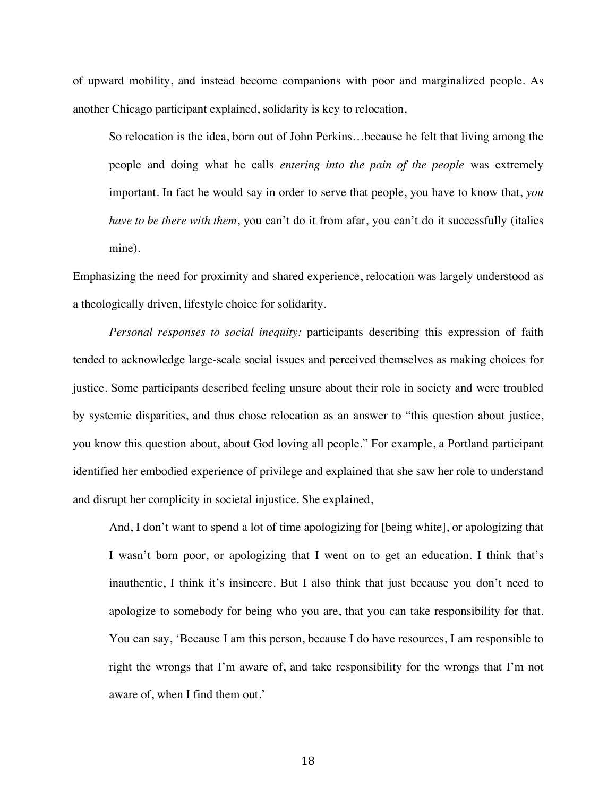of upward mobility, and instead become companions with poor and marginalized people. As another Chicago participant explained, solidarity is key to relocation,

So relocation is the idea, born out of John Perkins…because he felt that living among the people and doing what he calls *entering into the pain of the people* was extremely important. In fact he would say in order to serve that people, you have to know that, *you have to be there with them*, you can't do it from afar, you can't do it successfully (italics mine).

Emphasizing the need for proximity and shared experience, relocation was largely understood as a theologically driven, lifestyle choice for solidarity.

*Personal responses to social inequity:* participants describing this expression of faith tended to acknowledge large-scale social issues and perceived themselves as making choices for justice. Some participants described feeling unsure about their role in society and were troubled by systemic disparities, and thus chose relocation as an answer to "this question about justice, you know this question about, about God loving all people." For example, a Portland participant identified her embodied experience of privilege and explained that she saw her role to understand and disrupt her complicity in societal injustice. She explained,

And, I don't want to spend a lot of time apologizing for [being white], or apologizing that I wasn't born poor, or apologizing that I went on to get an education. I think that's inauthentic, I think it's insincere. But I also think that just because you don't need to apologize to somebody for being who you are, that you can take responsibility for that. You can say, 'Because I am this person, because I do have resources, I am responsible to right the wrongs that I'm aware of, and take responsibility for the wrongs that I'm not aware of, when I find them out.'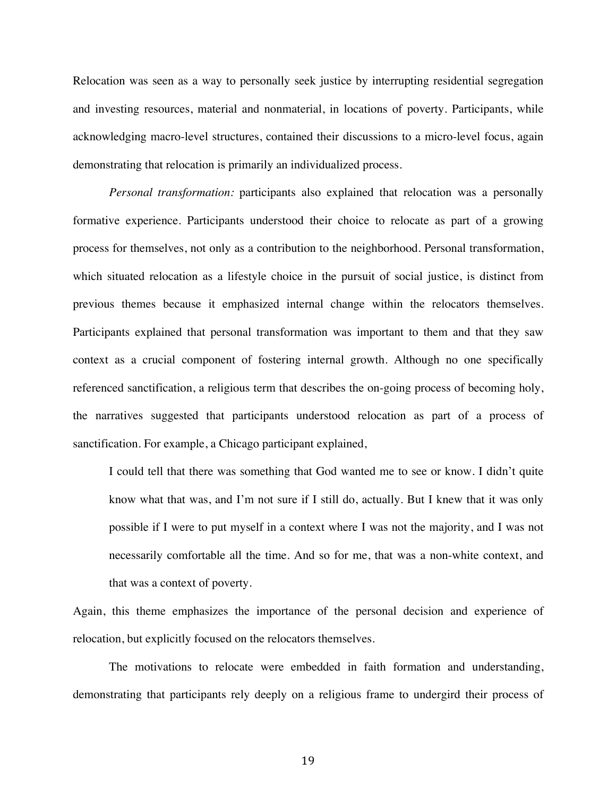Relocation was seen as a way to personally seek justice by interrupting residential segregation and investing resources, material and nonmaterial, in locations of poverty. Participants, while acknowledging macro-level structures, contained their discussions to a micro-level focus, again demonstrating that relocation is primarily an individualized process.

*Personal transformation:* participants also explained that relocation was a personally formative experience. Participants understood their choice to relocate as part of a growing process for themselves, not only as a contribution to the neighborhood. Personal transformation, which situated relocation as a lifestyle choice in the pursuit of social justice, is distinct from previous themes because it emphasized internal change within the relocators themselves. Participants explained that personal transformation was important to them and that they saw context as a crucial component of fostering internal growth. Although no one specifically referenced sanctification, a religious term that describes the on-going process of becoming holy, the narratives suggested that participants understood relocation as part of a process of sanctification. For example, a Chicago participant explained,

I could tell that there was something that God wanted me to see or know. I didn't quite know what that was, and I'm not sure if I still do, actually. But I knew that it was only possible if I were to put myself in a context where I was not the majority, and I was not necessarily comfortable all the time. And so for me, that was a non-white context, and that was a context of poverty.

Again, this theme emphasizes the importance of the personal decision and experience of relocation, but explicitly focused on the relocators themselves.

The motivations to relocate were embedded in faith formation and understanding, demonstrating that participants rely deeply on a religious frame to undergird their process of

19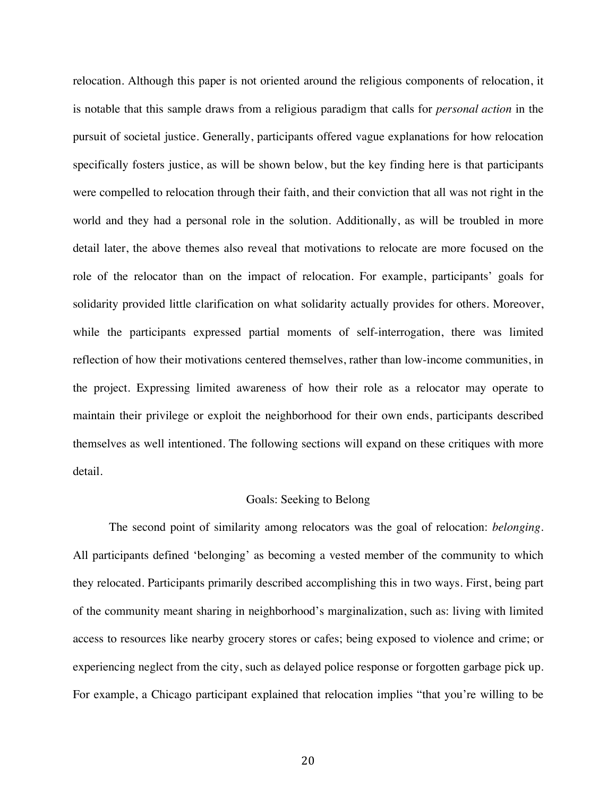relocation. Although this paper is not oriented around the religious components of relocation, it is notable that this sample draws from a religious paradigm that calls for *personal action* in the pursuit of societal justice. Generally, participants offered vague explanations for how relocation specifically fosters justice, as will be shown below, but the key finding here is that participants were compelled to relocation through their faith, and their conviction that all was not right in the world and they had a personal role in the solution. Additionally, as will be troubled in more detail later, the above themes also reveal that motivations to relocate are more focused on the role of the relocator than on the impact of relocation. For example, participants' goals for solidarity provided little clarification on what solidarity actually provides for others. Moreover, while the participants expressed partial moments of self-interrogation, there was limited reflection of how their motivations centered themselves, rather than low-income communities, in the project. Expressing limited awareness of how their role as a relocator may operate to maintain their privilege or exploit the neighborhood for their own ends, participants described themselves as well intentioned. The following sections will expand on these critiques with more detail.

# Goals: Seeking to Belong

The second point of similarity among relocators was the goal of relocation: *belonging*. All participants defined 'belonging' as becoming a vested member of the community to which they relocated. Participants primarily described accomplishing this in two ways. First, being part of the community meant sharing in neighborhood's marginalization, such as: living with limited access to resources like nearby grocery stores or cafes; being exposed to violence and crime; or experiencing neglect from the city, such as delayed police response or forgotten garbage pick up. For example, a Chicago participant explained that relocation implies "that you're willing to be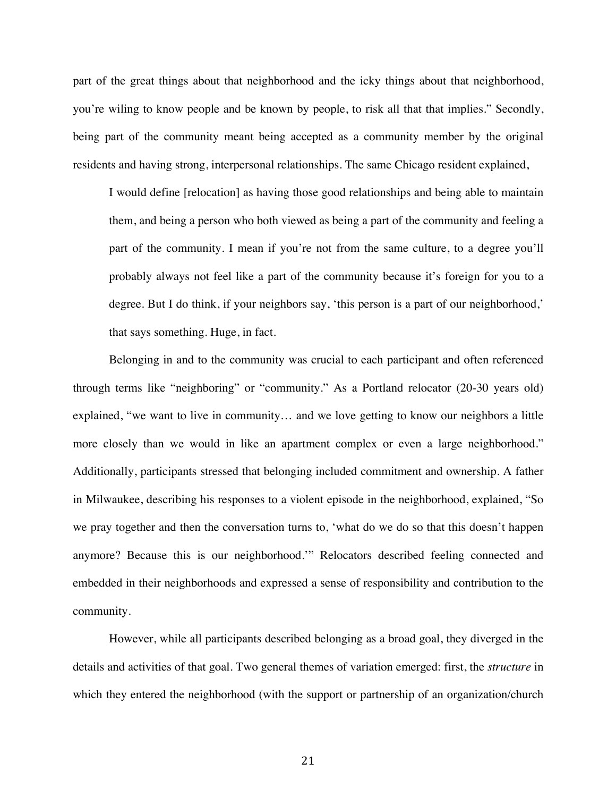part of the great things about that neighborhood and the icky things about that neighborhood, you're wiling to know people and be known by people, to risk all that that implies." Secondly, being part of the community meant being accepted as a community member by the original residents and having strong, interpersonal relationships. The same Chicago resident explained,

I would define [relocation] as having those good relationships and being able to maintain them, and being a person who both viewed as being a part of the community and feeling a part of the community. I mean if you're not from the same culture, to a degree you'll probably always not feel like a part of the community because it's foreign for you to a degree. But I do think, if your neighbors say, 'this person is a part of our neighborhood,' that says something. Huge, in fact.

Belonging in and to the community was crucial to each participant and often referenced through terms like "neighboring" or "community." As a Portland relocator (20-30 years old) explained, "we want to live in community… and we love getting to know our neighbors a little more closely than we would in like an apartment complex or even a large neighborhood." Additionally, participants stressed that belonging included commitment and ownership. A father in Milwaukee, describing his responses to a violent episode in the neighborhood, explained, "So we pray together and then the conversation turns to, 'what do we do so that this doesn't happen anymore? Because this is our neighborhood.'" Relocators described feeling connected and embedded in their neighborhoods and expressed a sense of responsibility and contribution to the community.

However, while all participants described belonging as a broad goal, they diverged in the details and activities of that goal. Two general themes of variation emerged: first, the *structure* in which they entered the neighborhood (with the support or partnership of an organization/church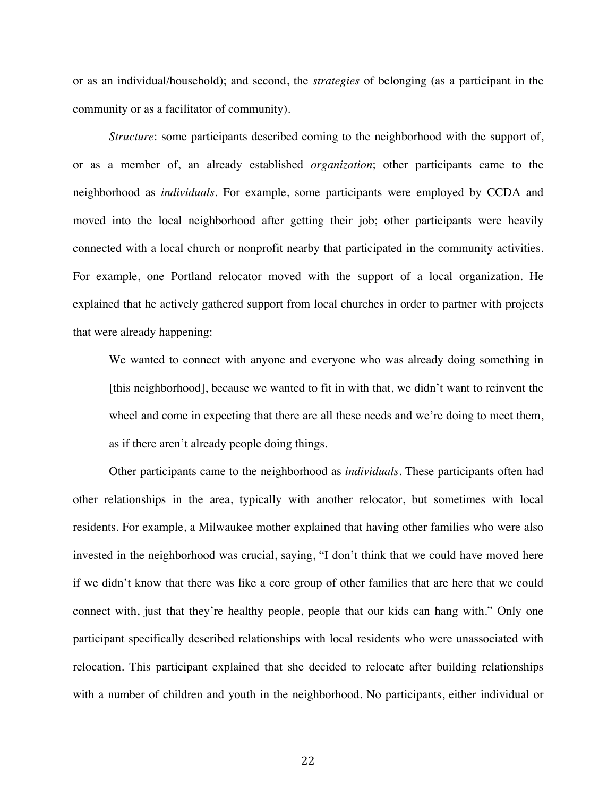or as an individual/household); and second, the *strategies* of belonging (as a participant in the community or as a facilitator of community).

*Structure*: some participants described coming to the neighborhood with the support of, or as a member of, an already established *organization*; other participants came to the neighborhood as *individuals*. For example, some participants were employed by CCDA and moved into the local neighborhood after getting their job; other participants were heavily connected with a local church or nonprofit nearby that participated in the community activities. For example, one Portland relocator moved with the support of a local organization. He explained that he actively gathered support from local churches in order to partner with projects that were already happening:

We wanted to connect with anyone and everyone who was already doing something in [this neighborhood], because we wanted to fit in with that, we didn't want to reinvent the wheel and come in expecting that there are all these needs and we're doing to meet them, as if there aren't already people doing things.

Other participants came to the neighborhood as *individuals*. These participants often had other relationships in the area, typically with another relocator, but sometimes with local residents. For example, a Milwaukee mother explained that having other families who were also invested in the neighborhood was crucial, saying, "I don't think that we could have moved here if we didn't know that there was like a core group of other families that are here that we could connect with, just that they're healthy people, people that our kids can hang with." Only one participant specifically described relationships with local residents who were unassociated with relocation. This participant explained that she decided to relocate after building relationships with a number of children and youth in the neighborhood. No participants, either individual or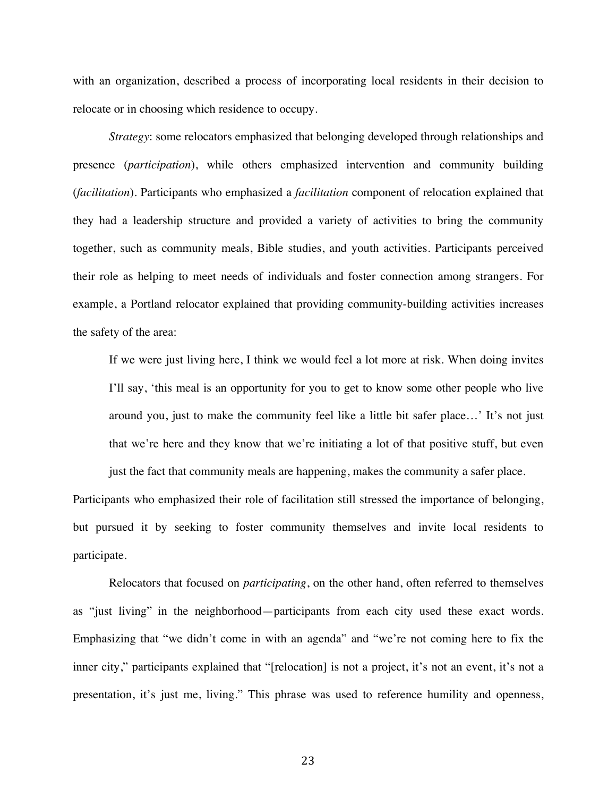with an organization, described a process of incorporating local residents in their decision to relocate or in choosing which residence to occupy.

*Strategy*: some relocators emphasized that belonging developed through relationships and presence (*participation*), while others emphasized intervention and community building (*facilitation*). Participants who emphasized a *facilitation* component of relocation explained that they had a leadership structure and provided a variety of activities to bring the community together, such as community meals, Bible studies, and youth activities. Participants perceived their role as helping to meet needs of individuals and foster connection among strangers. For example, a Portland relocator explained that providing community-building activities increases the safety of the area:

If we were just living here, I think we would feel a lot more at risk. When doing invites I'll say, 'this meal is an opportunity for you to get to know some other people who live around you, just to make the community feel like a little bit safer place…' It's not just that we're here and they know that we're initiating a lot of that positive stuff, but even

just the fact that community meals are happening, makes the community a safer place.

Participants who emphasized their role of facilitation still stressed the importance of belonging, but pursued it by seeking to foster community themselves and invite local residents to participate.

Relocators that focused on *participating*, on the other hand, often referred to themselves as "just living" in the neighborhood—participants from each city used these exact words. Emphasizing that "we didn't come in with an agenda" and "we're not coming here to fix the inner city," participants explained that "[relocation] is not a project, it's not an event, it's not a presentation, it's just me, living." This phrase was used to reference humility and openness,

23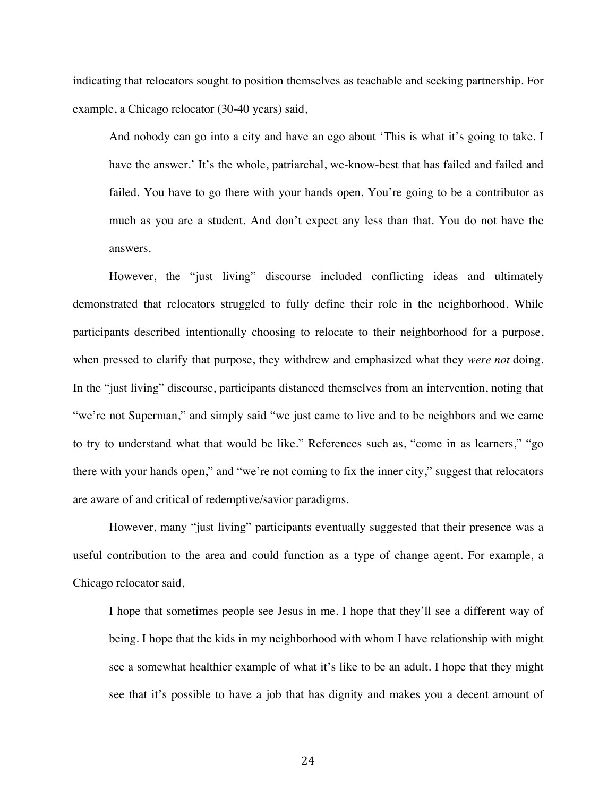indicating that relocators sought to position themselves as teachable and seeking partnership. For example, a Chicago relocator (30-40 years) said,

And nobody can go into a city and have an ego about 'This is what it's going to take. I have the answer.' It's the whole, patriarchal, we-know-best that has failed and failed and failed. You have to go there with your hands open. You're going to be a contributor as much as you are a student. And don't expect any less than that. You do not have the answers.

However, the "just living" discourse included conflicting ideas and ultimately demonstrated that relocators struggled to fully define their role in the neighborhood. While participants described intentionally choosing to relocate to their neighborhood for a purpose, when pressed to clarify that purpose, they withdrew and emphasized what they *were not* doing. In the "just living" discourse, participants distanced themselves from an intervention, noting that "we're not Superman," and simply said "we just came to live and to be neighbors and we came to try to understand what that would be like." References such as, "come in as learners," "go there with your hands open," and "we're not coming to fix the inner city," suggest that relocators are aware of and critical of redemptive/savior paradigms.

However, many "just living" participants eventually suggested that their presence was a useful contribution to the area and could function as a type of change agent. For example, a Chicago relocator said,

I hope that sometimes people see Jesus in me. I hope that they'll see a different way of being. I hope that the kids in my neighborhood with whom I have relationship with might see a somewhat healthier example of what it's like to be an adult. I hope that they might see that it's possible to have a job that has dignity and makes you a decent amount of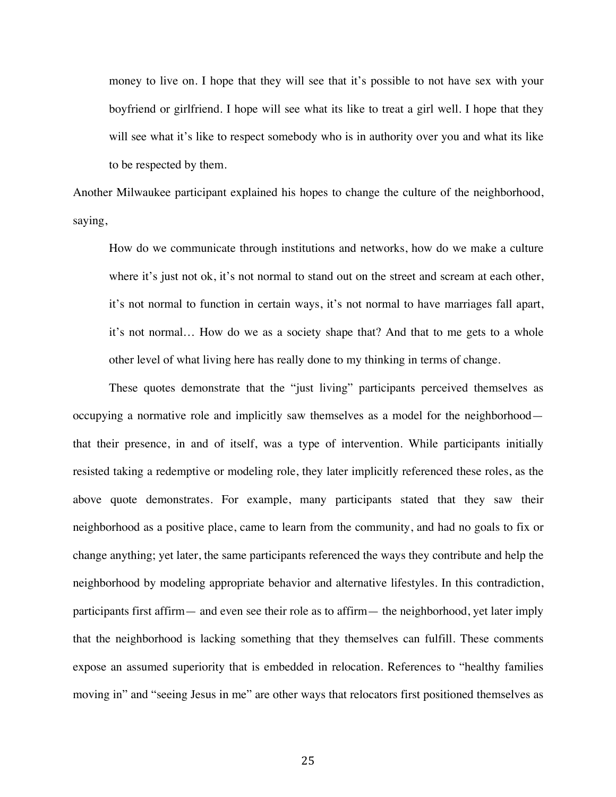money to live on. I hope that they will see that it's possible to not have sex with your boyfriend or girlfriend. I hope will see what its like to treat a girl well. I hope that they will see what it's like to respect somebody who is in authority over you and what its like to be respected by them.

Another Milwaukee participant explained his hopes to change the culture of the neighborhood, saying,

How do we communicate through institutions and networks, how do we make a culture where it's just not ok, it's not normal to stand out on the street and scream at each other, it's not normal to function in certain ways, it's not normal to have marriages fall apart, it's not normal… How do we as a society shape that? And that to me gets to a whole other level of what living here has really done to my thinking in terms of change.

These quotes demonstrate that the "just living" participants perceived themselves as occupying a normative role and implicitly saw themselves as a model for the neighborhood that their presence, in and of itself, was a type of intervention. While participants initially resisted taking a redemptive or modeling role, they later implicitly referenced these roles, as the above quote demonstrates. For example, many participants stated that they saw their neighborhood as a positive place, came to learn from the community, and had no goals to fix or change anything; yet later, the same participants referenced the ways they contribute and help the neighborhood by modeling appropriate behavior and alternative lifestyles. In this contradiction, participants first affirm— and even see their role as to affirm— the neighborhood, yet later imply that the neighborhood is lacking something that they themselves can fulfill. These comments expose an assumed superiority that is embedded in relocation. References to "healthy families moving in" and "seeing Jesus in me" are other ways that relocators first positioned themselves as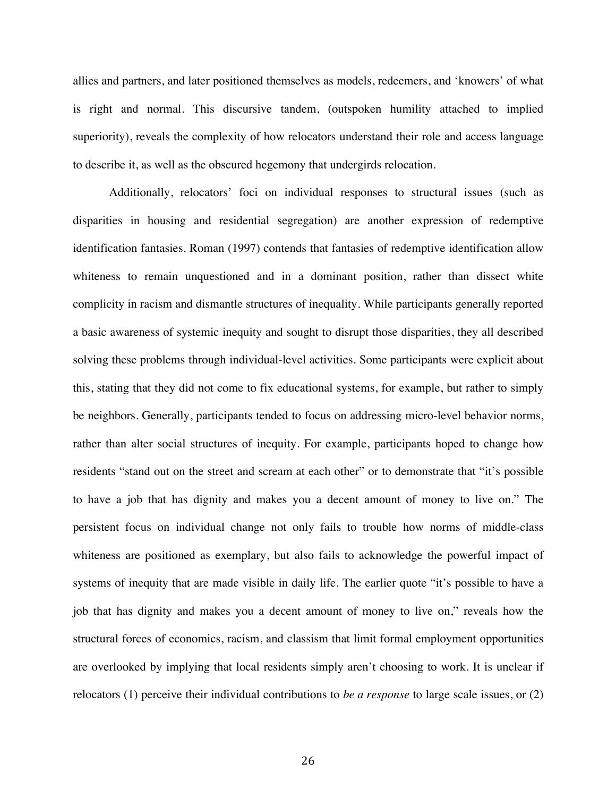allies and partners, and later positioned themselves as models, redeemers, and 'knowers' of what is right and normal. This discursive tandem, (outspoken humility attached to implied superiority), reveals the complexity of how relocators understand their role and access language to describe it, as well as the obscured hegemony that undergirds relocation.

Additionally, relocators' foci on individual responses to structural issues (such as disparities in housing and residential segregation) are another expression of redemptive identification fantasies. Roman (1997) contends that fantasies of redemptive identification allow whiteness to remain unquestioned and in a dominant position, rather than dissect white complicity in racism and dismantle structures of inequality. While participants generally reported a basic awareness of systemic inequity and sought to disrupt those disparities, they all described solving these problems through individual-level activities. Some participants were explicit about this, stating that they did not come to fix educational systems, for example, but rather to simply be neighbors. Generally, participants tended to focus on addressing micro-level behavior norms, rather than alter social structures of inequity. For example, participants hoped to change how residents "stand out on the street and scream at each other" or to demonstrate that "it's possible to have a job that has dignity and makes you a decent amount of money to live on." The persistent focus on individual change not only fails to trouble how norms of middle-class whiteness are positioned as exemplary, but also fails to acknowledge the powerful impact of systems of inequity that are made visible in daily life. The earlier quote "it's possible to have a job that has dignity and makes you a decent amount of money to live on," reveals how the structural forces of economics, racism, and classism that limit formal employment opportunities are overlooked by implying that local residents simply aren't choosing to work. It is unclear if relocators (1) perceive their individual contributions to *be a response* to large scale issues, or (2)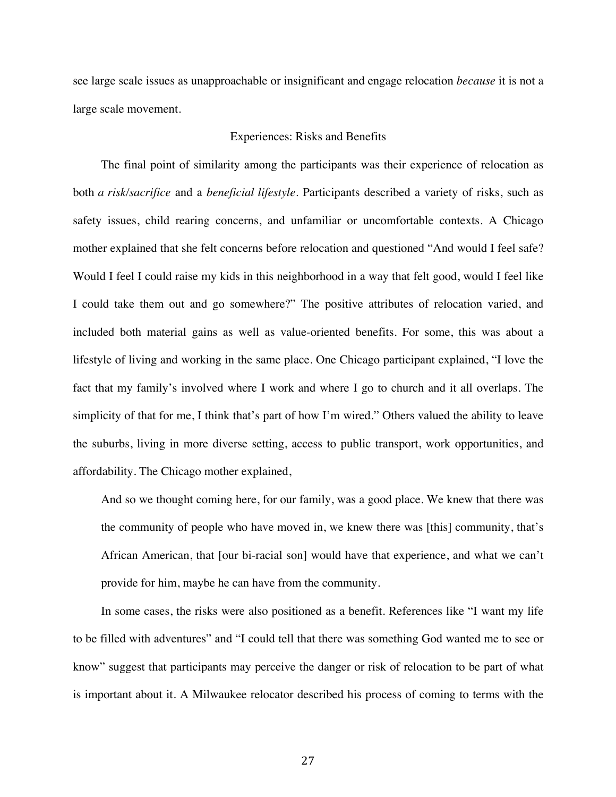see large scale issues as unapproachable or insignificant and engage relocation *because* it is not a large scale movement.

#### Experiences: Risks and Benefits

The final point of similarity among the participants was their experience of relocation as both *a risk/sacrifice* and a *beneficial lifestyle*. Participants described a variety of risks, such as safety issues, child rearing concerns, and unfamiliar or uncomfortable contexts. A Chicago mother explained that she felt concerns before relocation and questioned "And would I feel safe? Would I feel I could raise my kids in this neighborhood in a way that felt good, would I feel like I could take them out and go somewhere?" The positive attributes of relocation varied, and included both material gains as well as value-oriented benefits. For some, this was about a lifestyle of living and working in the same place. One Chicago participant explained, "I love the fact that my family's involved where I work and where I go to church and it all overlaps. The simplicity of that for me, I think that's part of how I'm wired." Others valued the ability to leave the suburbs, living in more diverse setting, access to public transport, work opportunities, and affordability. The Chicago mother explained,

And so we thought coming here, for our family, was a good place. We knew that there was the community of people who have moved in, we knew there was [this] community, that's African American, that [our bi-racial son] would have that experience, and what we can't provide for him, maybe he can have from the community.

In some cases, the risks were also positioned as a benefit. References like "I want my life to be filled with adventures" and "I could tell that there was something God wanted me to see or know" suggest that participants may perceive the danger or risk of relocation to be part of what is important about it. A Milwaukee relocator described his process of coming to terms with the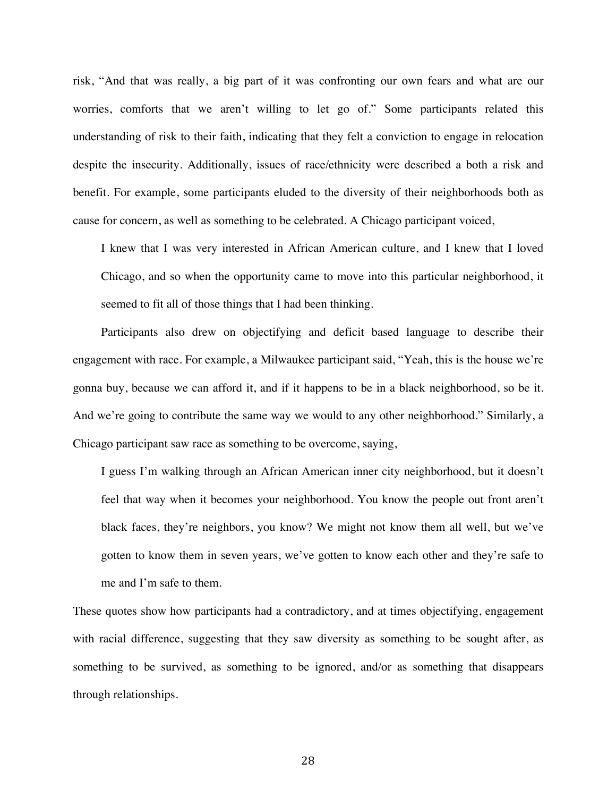risk, "And that was really, a big part of it was confronting our own fears and what are our worries, comforts that we aren't willing to let go of." Some participants related this understanding of risk to their faith, indicating that they felt a conviction to engage in relocation despite the insecurity. Additionally, issues of race/ethnicity were described a both a risk and benefit. For example, some participants eluded to the diversity of their neighborhoods both as cause for concern, as well as something to be celebrated. A Chicago participant voiced,

I knew that I was very interested in African American culture, and I knew that I loved Chicago, and so when the opportunity came to move into this particular neighborhood, it seemed to fit all of those things that I had been thinking.

Participants also drew on objectifying and deficit based language to describe their engagement with race. For example, a Milwaukee participant said, "Yeah, this is the house we're gonna buy, because we can afford it, and if it happens to be in a black neighborhood, so be it. And we're going to contribute the same way we would to any other neighborhood." Similarly, a Chicago participant saw race as something to be overcome, saying,

I guess I'm walking through an African American inner city neighborhood, but it doesn't feel that way when it becomes your neighborhood. You know the people out front aren't black faces, they're neighbors, you know? We might not know them all well, but we've gotten to know them in seven years, we've gotten to know each other and they're safe to me and I'm safe to them.

These quotes show how participants had a contradictory, and at times objectifying, engagement with racial difference, suggesting that they saw diversity as something to be sought after, as something to be survived, as something to be ignored, and/or as something that disappears through relationships.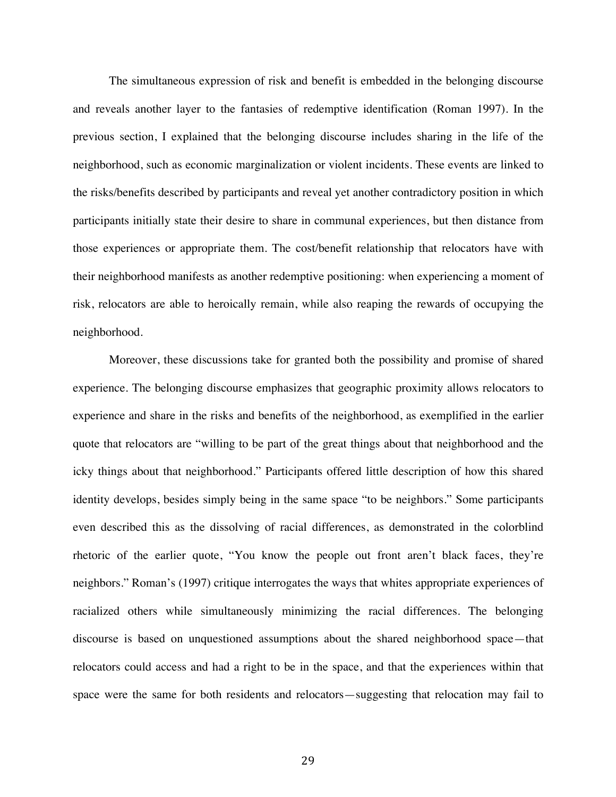The simultaneous expression of risk and benefit is embedded in the belonging discourse and reveals another layer to the fantasies of redemptive identification (Roman 1997). In the previous section, I explained that the belonging discourse includes sharing in the life of the neighborhood, such as economic marginalization or violent incidents. These events are linked to the risks/benefits described by participants and reveal yet another contradictory position in which participants initially state their desire to share in communal experiences, but then distance from those experiences or appropriate them. The cost/benefit relationship that relocators have with their neighborhood manifests as another redemptive positioning: when experiencing a moment of risk, relocators are able to heroically remain, while also reaping the rewards of occupying the neighborhood.

Moreover, these discussions take for granted both the possibility and promise of shared experience. The belonging discourse emphasizes that geographic proximity allows relocators to experience and share in the risks and benefits of the neighborhood, as exemplified in the earlier quote that relocators are "willing to be part of the great things about that neighborhood and the icky things about that neighborhood." Participants offered little description of how this shared identity develops, besides simply being in the same space "to be neighbors." Some participants even described this as the dissolving of racial differences, as demonstrated in the colorblind rhetoric of the earlier quote, "You know the people out front aren't black faces, they're neighbors." Roman's (1997) critique interrogates the ways that whites appropriate experiences of racialized others while simultaneously minimizing the racial differences. The belonging discourse is based on unquestioned assumptions about the shared neighborhood space—that relocators could access and had a right to be in the space, and that the experiences within that space were the same for both residents and relocators—suggesting that relocation may fail to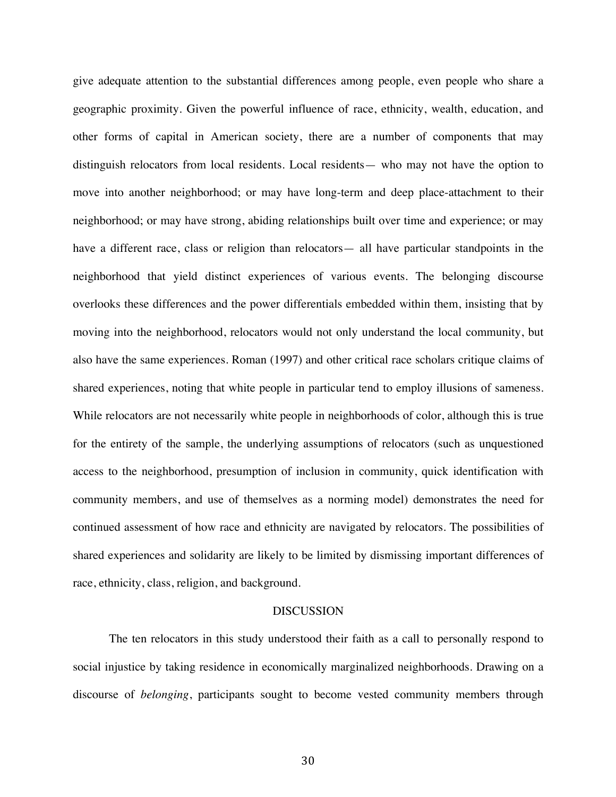give adequate attention to the substantial differences among people, even people who share a geographic proximity. Given the powerful influence of race, ethnicity, wealth, education, and other forms of capital in American society, there are a number of components that may distinguish relocators from local residents. Local residents— who may not have the option to move into another neighborhood; or may have long-term and deep place-attachment to their neighborhood; or may have strong, abiding relationships built over time and experience; or may have a different race, class or religion than relocators— all have particular standpoints in the neighborhood that yield distinct experiences of various events. The belonging discourse overlooks these differences and the power differentials embedded within them, insisting that by moving into the neighborhood, relocators would not only understand the local community, but also have the same experiences. Roman (1997) and other critical race scholars critique claims of shared experiences, noting that white people in particular tend to employ illusions of sameness. While relocators are not necessarily white people in neighborhoods of color, although this is true for the entirety of the sample, the underlying assumptions of relocators (such as unquestioned access to the neighborhood, presumption of inclusion in community, quick identification with community members, and use of themselves as a norming model) demonstrates the need for continued assessment of how race and ethnicity are navigated by relocators. The possibilities of shared experiences and solidarity are likely to be limited by dismissing important differences of race, ethnicity, class, religion, and background.

#### DISCUSSION

The ten relocators in this study understood their faith as a call to personally respond to social injustice by taking residence in economically marginalized neighborhoods. Drawing on a discourse of *belonging*, participants sought to become vested community members through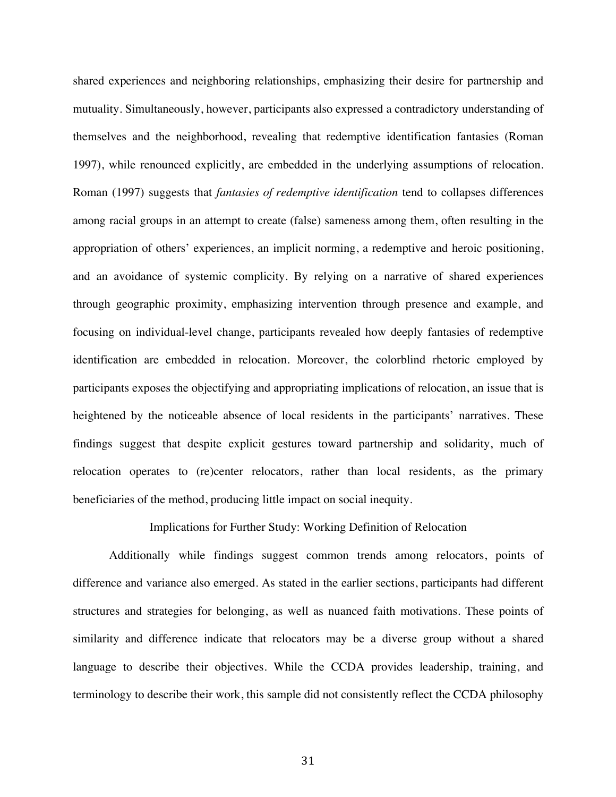shared experiences and neighboring relationships, emphasizing their desire for partnership and mutuality. Simultaneously, however, participants also expressed a contradictory understanding of themselves and the neighborhood, revealing that redemptive identification fantasies (Roman 1997), while renounced explicitly, are embedded in the underlying assumptions of relocation. Roman (1997) suggests that *fantasies of redemptive identification* tend to collapses differences among racial groups in an attempt to create (false) sameness among them, often resulting in the appropriation of others' experiences, an implicit norming, a redemptive and heroic positioning, and an avoidance of systemic complicity. By relying on a narrative of shared experiences through geographic proximity, emphasizing intervention through presence and example, and focusing on individual-level change, participants revealed how deeply fantasies of redemptive identification are embedded in relocation. Moreover, the colorblind rhetoric employed by participants exposes the objectifying and appropriating implications of relocation, an issue that is heightened by the noticeable absence of local residents in the participants' narratives. These findings suggest that despite explicit gestures toward partnership and solidarity, much of relocation operates to (re)center relocators, rather than local residents, as the primary beneficiaries of the method, producing little impact on social inequity.

## Implications for Further Study: Working Definition of Relocation

Additionally while findings suggest common trends among relocators, points of difference and variance also emerged. As stated in the earlier sections, participants had different structures and strategies for belonging, as well as nuanced faith motivations. These points of similarity and difference indicate that relocators may be a diverse group without a shared language to describe their objectives. While the CCDA provides leadership, training, and terminology to describe their work, this sample did not consistently reflect the CCDA philosophy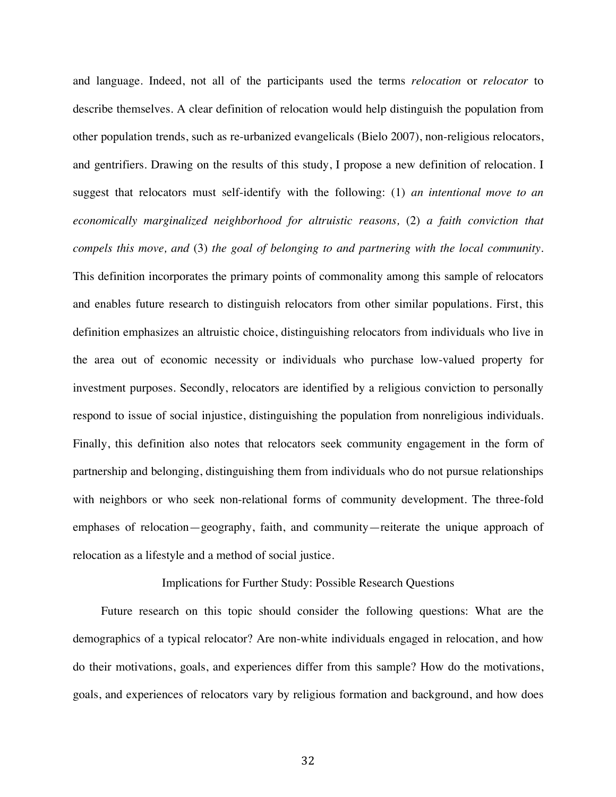and language. Indeed, not all of the participants used the terms *relocation* or *relocator* to describe themselves. A clear definition of relocation would help distinguish the population from other population trends, such as re-urbanized evangelicals (Bielo 2007), non-religious relocators, and gentrifiers. Drawing on the results of this study, I propose a new definition of relocation. I suggest that relocators must self-identify with the following: (1) *an intentional move to an economically marginalized neighborhood for altruistic reasons,* (2) *a faith conviction that compels this move, and* (3) *the goal of belonging to and partnering with the local community.*  This definition incorporates the primary points of commonality among this sample of relocators and enables future research to distinguish relocators from other similar populations. First, this definition emphasizes an altruistic choice, distinguishing relocators from individuals who live in the area out of economic necessity or individuals who purchase low-valued property for investment purposes. Secondly, relocators are identified by a religious conviction to personally respond to issue of social injustice, distinguishing the population from nonreligious individuals. Finally, this definition also notes that relocators seek community engagement in the form of partnership and belonging, distinguishing them from individuals who do not pursue relationships with neighbors or who seek non-relational forms of community development. The three-fold emphases of relocation—geography, faith, and community—reiterate the unique approach of relocation as a lifestyle and a method of social justice.

# Implications for Further Study: Possible Research Questions

Future research on this topic should consider the following questions: What are the demographics of a typical relocator? Are non-white individuals engaged in relocation, and how do their motivations, goals, and experiences differ from this sample? How do the motivations, goals, and experiences of relocators vary by religious formation and background, and how does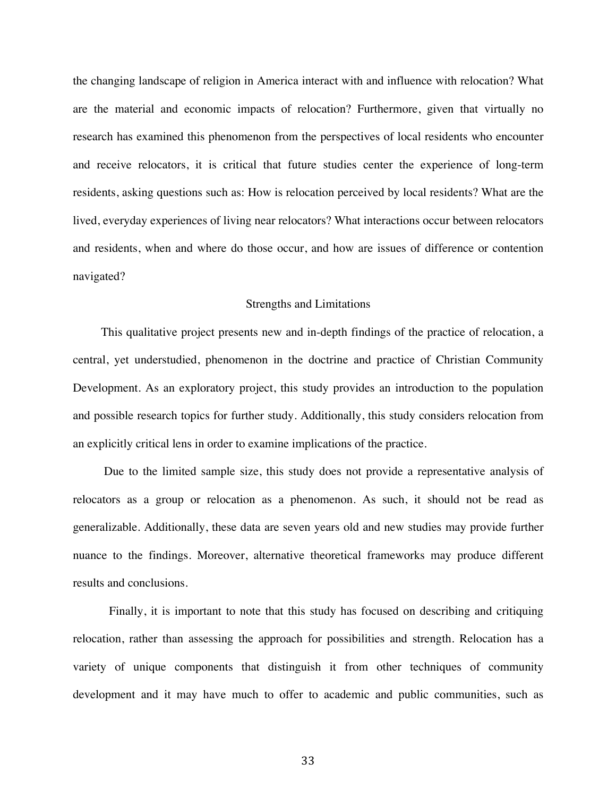the changing landscape of religion in America interact with and influence with relocation? What are the material and economic impacts of relocation? Furthermore, given that virtually no research has examined this phenomenon from the perspectives of local residents who encounter and receive relocators, it is critical that future studies center the experience of long-term residents, asking questions such as: How is relocation perceived by local residents? What are the lived, everyday experiences of living near relocators? What interactions occur between relocators and residents, when and where do those occur, and how are issues of difference or contention navigated?

## Strengths and Limitations

This qualitative project presents new and in-depth findings of the practice of relocation, a central, yet understudied, phenomenon in the doctrine and practice of Christian Community Development. As an exploratory project, this study provides an introduction to the population and possible research topics for further study. Additionally, this study considers relocation from an explicitly critical lens in order to examine implications of the practice.

Due to the limited sample size, this study does not provide a representative analysis of relocators as a group or relocation as a phenomenon. As such, it should not be read as generalizable. Additionally, these data are seven years old and new studies may provide further nuance to the findings. Moreover, alternative theoretical frameworks may produce different results and conclusions.

Finally, it is important to note that this study has focused on describing and critiquing relocation, rather than assessing the approach for possibilities and strength. Relocation has a variety of unique components that distinguish it from other techniques of community development and it may have much to offer to academic and public communities, such as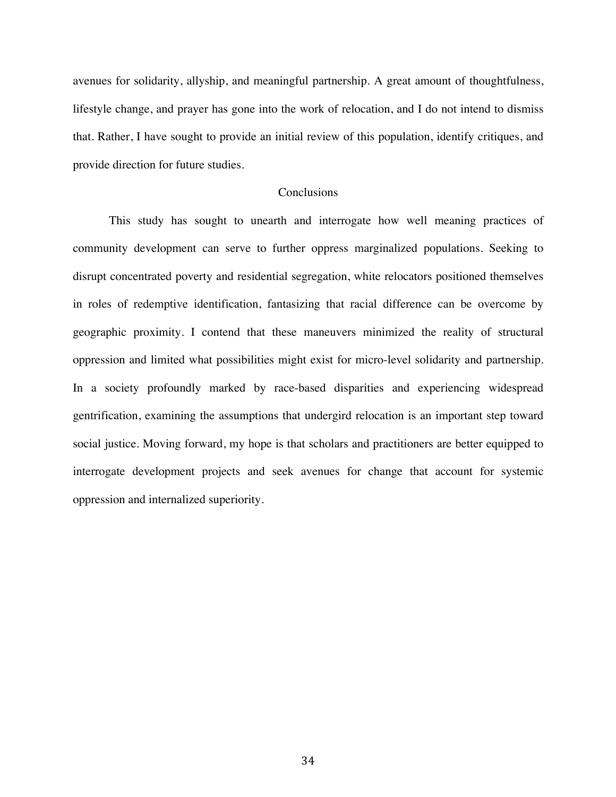avenues for solidarity, allyship, and meaningful partnership. A great amount of thoughtfulness, lifestyle change, and prayer has gone into the work of relocation, and I do not intend to dismiss that. Rather, I have sought to provide an initial review of this population, identify critiques, and provide direction for future studies.

#### Conclusions

This study has sought to unearth and interrogate how well meaning practices of community development can serve to further oppress marginalized populations. Seeking to disrupt concentrated poverty and residential segregation, white relocators positioned themselves in roles of redemptive identification, fantasizing that racial difference can be overcome by geographic proximity. I contend that these maneuvers minimized the reality of structural oppression and limited what possibilities might exist for micro-level solidarity and partnership. In a society profoundly marked by race-based disparities and experiencing widespread gentrification, examining the assumptions that undergird relocation is an important step toward social justice. Moving forward, my hope is that scholars and practitioners are better equipped to interrogate development projects and seek avenues for change that account for systemic oppression and internalized superiority.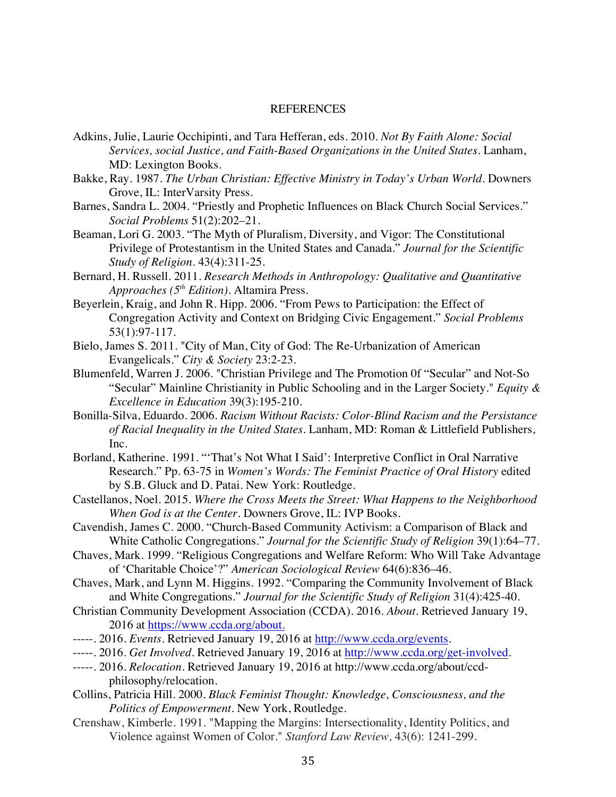#### REFERENCES

- Adkins, Julie, Laurie Occhipinti, and Tara Hefferan, eds. 2010. *Not By Faith Alone: Social Services, social Justice, and Faith-Based Organizations in the United States.* Lanham, MD: Lexington Books.
- Bakke, Ray. 1987. *The Urban Christian: Effective Ministry in Today's Urban World.* Downers Grove, IL: InterVarsity Press.
- Barnes, Sandra L. 2004. "Priestly and Prophetic Influences on Black Church Social Services." *Social Problems* 51(2):202–21.
- Beaman, Lori G. 2003. "The Myth of Pluralism, Diversity, and Vigor: The Constitutional Privilege of Protestantism in the United States and Canada." *Journal for the Scientific Study of Religion.* 43(4):311-25.

Bernard, H. Russell. 2011. *Research Methods in Anthropology: Qualitative and Quantitative Approaches (5th Edition).* Altamira Press.

- Beyerlein, Kraig, and John R. Hipp. 2006. "From Pews to Participation: the Effect of Congregation Activity and Context on Bridging Civic Engagement." *Social Problems* 53(1):97-117.
- Bielo, James S. 2011. "City of Man, City of God: The Re-Urbanization of American Evangelicals." *City & Society* 23:2-23.
- Blumenfeld, Warren J. 2006. "Christian Privilege and The Promotion 0f "Secular" and Not-So "Secular" Mainline Christianity in Public Schooling and in the Larger Society." *Equity & Excellence in Education* 39(3):195-210.
- Bonilla-Silva, Eduardo. 2006. *Racism Without Racists: Color-Blind Racism and the Persistance of Racial Inequality in the United States.* Lanham, MD: Roman & Littlefield Publishers, Inc.
- Borland, Katherine. 1991. "'That's Not What I Said': Interpretive Conflict in Oral Narrative Research." Pp. 63-75 in *Women's Words: The Feminist Practice of Oral History* edited by S.B. Gluck and D. Patai. New York: Routledge.
- Castellanos, Noel. 2015. *Where the Cross Meets the Street: What Happens to the Neighborhood When God is at the Center.* Downers Grove, IL: IVP Books.
- Cavendish, James C. 2000. "Church-Based Community Activism: a Comparison of Black and White Catholic Congregations." *Journal for the Scientific Study of Religion* 39(1):64–77.
- Chaves, Mark. 1999. "Religious Congregations and Welfare Reform: Who Will Take Advantage of 'Charitable Choice'?" *American Sociological Review* 64(6):836–46.
- Chaves, Mark, and Lynn M. Higgins. 1992. "Comparing the Community Involvement of Black and White Congregations." *Journal for the Scientific Study of Religion* 31(4):425-40.
- Christian Community Development Association (CCDA). 2016. *About.* Retrieved January 19, 2016 at https://www.ccda.org/about.
- -----. 2016. *Events.* Retrieved January 19, 2016 at http://www.ccda.org/events.
- -----. 2016. *Get Involved.* Retrieved January 19, 2016 at http://www.ccda.org/get-involved.
- -----. 2016. *Relocation.* Retrieved January 19, 2016 at http://www.ccda.org/about/ccdphilosophy/relocation.
- Collins, Patricia Hill. 2000. *Black Feminist Thought: Knowledge, Consciousness, and the Politics of Empowerment.* New York, Routledge.
- Crenshaw, Kimberle. 1991. "Mapping the Margins: Intersectionality, Identity Politics, and Violence against Women of Color." *Stanford Law Review,* 43(6): 1241-299.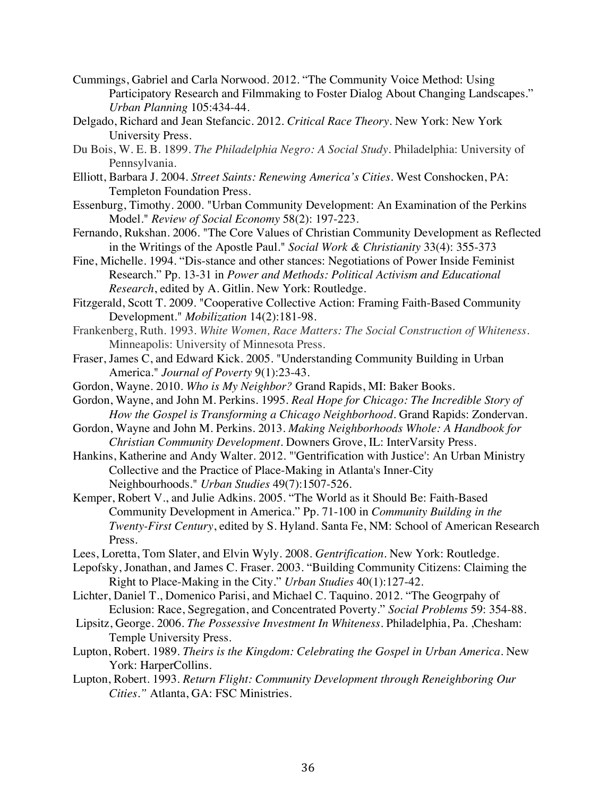- Cummings, Gabriel and Carla Norwood. 2012. "The Community Voice Method: Using Participatory Research and Filmmaking to Foster Dialog About Changing Landscapes." *Urban Planning* 105:434-44.
- Delgado, Richard and Jean Stefancic. 2012. *Critical Race Theory*. New York: New York University Press.
- Du Bois, W. E. B. 1899. *The Philadelphia Negro: A Social Study*. Philadelphia: University of Pennsylvania.
- Elliott, Barbara J. 2004. *Street Saints: Renewing America's Cities.* West Conshocken, PA: Templeton Foundation Press.
- Essenburg, Timothy. 2000. "Urban Community Development: An Examination of the Perkins Model." *Review of Social Economy* 58(2): 197-223.
- Fernando, Rukshan. 2006. "The Core Values of Christian Community Development as Reflected in the Writings of the Apostle Paul." *Social Work & Christianity* 33(4): 355-373
- Fine, Michelle. 1994. "Dis-stance and other stances: Negotiations of Power Inside Feminist Research." Pp. 13-31 in *Power and Methods: Political Activism and Educational Research*, edited by A. Gitlin. New York: Routledge.
- Fitzgerald, Scott T. 2009. "Cooperative Collective Action: Framing Faith-Based Community Development." *Mobilization* 14(2):181-98.
- Frankenberg, Ruth. 1993. *White Women, Race Matters: The Social Construction of Whiteness.*  Minneapolis: University of Minnesota Press.
- Fraser, James C, and Edward Kick. 2005. "Understanding Community Building in Urban America." *Journal of Poverty* 9(1):23-43.
- Gordon, Wayne. 2010. *Who is My Neighbor?* Grand Rapids, MI: Baker Books.
- Gordon, Wayne, and John M. Perkins. 1995. *Real Hope for Chicago: The Incredible Story of How the Gospel is Transforming a Chicago Neighborhood.* Grand Rapids: Zondervan.
- Gordon, Wayne and John M. Perkins. 2013. *Making Neighborhoods Whole: A Handbook for Christian Community Development.* Downers Grove, IL: InterVarsity Press.
- Hankins, Katherine and Andy Walter. 2012. "'Gentrification with Justice': An Urban Ministry Collective and the Practice of Place-Making in Atlanta's Inner-City Neighbourhoods." *Urban Studies* 49(7):1507-526.
- Kemper, Robert V., and Julie Adkins. 2005. "The World as it Should Be: Faith-Based Community Development in America." Pp. 71-100 in *Community Building in the Twenty-First Century*, edited by S. Hyland. Santa Fe, NM: School of American Research Press.
- Lees, Loretta, Tom Slater, and Elvin Wyly. 2008. *Gentrification*. New York: Routledge.
- Lepofsky, Jonathan, and James C. Fraser. 2003. "Building Community Citizens: Claiming the Right to Place-Making in the City." *Urban Studies* 40(1):127-42.
- Lichter, Daniel T., Domenico Parisi, and Michael C. Taquino. 2012. "The Geogrpahy of Eclusion: Race, Segregation, and Concentrated Poverty." *Social Problems* 59: 354-88.
- Lipsitz, George. 2006. *The Possessive Investment In Whiteness*. Philadelphia, Pa. ,Chesham: Temple University Press.
- Lupton, Robert. 1989. *Theirs is the Kingdom: Celebrating the Gospel in Urban America.* New York: HarperCollins.
- Lupton, Robert. 1993. *Return Flight: Community Development through Reneighboring Our Cities."* Atlanta, GA: FSC Ministries.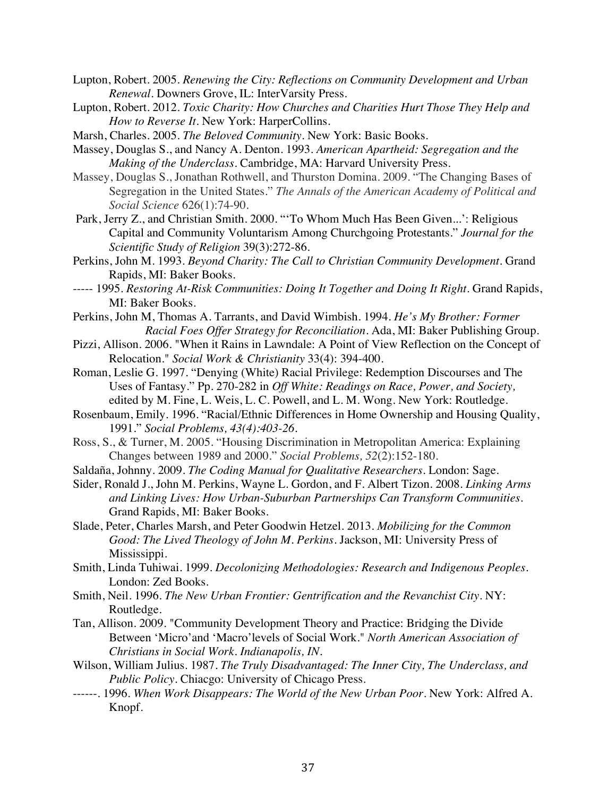- Lupton, Robert. 2005. *Renewing the City: Reflections on Community Development and Urban Renewal.* Downers Grove, IL: InterVarsity Press.
- Lupton, Robert. 2012. *Toxic Charity: How Churches and Charities Hurt Those They Help and How to Reverse It.* New York: HarperCollins.
- Marsh, Charles. 2005. *The Beloved Community.* New York: Basic Books.
- Massey, Douglas S., and Nancy A. Denton. 1993. *American Apartheid: Segregation and the Making of the Underclass.* Cambridge, MA: Harvard University Press.
- Massey, Douglas S., Jonathan Rothwell, and Thurston Domina. 2009. "The Changing Bases of Segregation in the United States." *The Annals of the American Academy of Political and Social Science* 626(1):74-90.
- Park, Jerry Z., and Christian Smith. 2000. "'To Whom Much Has Been Given...': Religious Capital and Community Voluntarism Among Churchgoing Protestants." *Journal for the Scientific Study of Religion* 39(3):272-86.
- Perkins, John M. 1993. *Beyond Charity: The Call to Christian Community Development.* Grand Rapids, MI: Baker Books.
- ----- 1995. *Restoring At-Risk Communities: Doing It Together and Doing It Right.* Grand Rapids, MI: Baker Books.
- Perkins, John M, Thomas A. Tarrants, and David Wimbish. 1994. *He's My Brother: Former Racial Foes Offer Strategy for Reconciliation.* Ada, MI: Baker Publishing Group.
- Pizzi, Allison. 2006. "When it Rains in Lawndale: A Point of View Reflection on the Concept of Relocation." *Social Work & Christianity* 33(4): 394-400.
- Roman, Leslie G. 1997. "Denying (White) Racial Privilege: Redemption Discourses and The Uses of Fantasy." Pp. 270-282 in *Off White: Readings on Race, Power, and Society,*  edited by M. Fine, L. Weis, L. C. Powell, and L. M. Wong. New York: Routledge.
- Rosenbaum, Emily. 1996. "Racial/Ethnic Differences in Home Ownership and Housing Quality, 1991." *Social Problems, 43(4):403-26.*
- Ross, S., & Turner, M. 2005. "Housing Discrimination in Metropolitan America: Explaining Changes between 1989 and 2000." *Social Problems, 52*(2):152-180.
- Saldaña, Johnny. 2009. *The Coding Manual for Qualitative Researchers.* London: Sage.
- Sider, Ronald J., John M. Perkins, Wayne L. Gordon, and F. Albert Tizon. 2008. *Linking Arms and Linking Lives: How Urban-Suburban Partnerships Can Transform Communities.* Grand Rapids, MI: Baker Books.
- Slade, Peter, Charles Marsh, and Peter Goodwin Hetzel. 2013. *Mobilizing for the Common Good: The Lived Theology of John M. Perkins.* Jackson, MI: University Press of Mississippi.
- Smith, Linda Tuhiwai. 1999. *Decolonizing Methodologies: Research and Indigenous Peoples*. London: Zed Books.
- Smith, Neil. 1996. *The New Urban Frontier: Gentrification and the Revanchist City.* NY: Routledge.
- Tan, Allison. 2009. "Community Development Theory and Practice: Bridging the Divide Between 'Micro'and 'Macro'levels of Social Work." *North American Association of Christians in Social Work. Indianapolis, IN.*
- Wilson, William Julius. 1987. *The Truly Disadvantaged: The Inner City, The Underclass, and Public Policy.* Chiacgo: University of Chicago Press.
- ------. 1996. *When Work Disappears: The World of the New Urban Poor.* New York: Alfred A. Knopf.